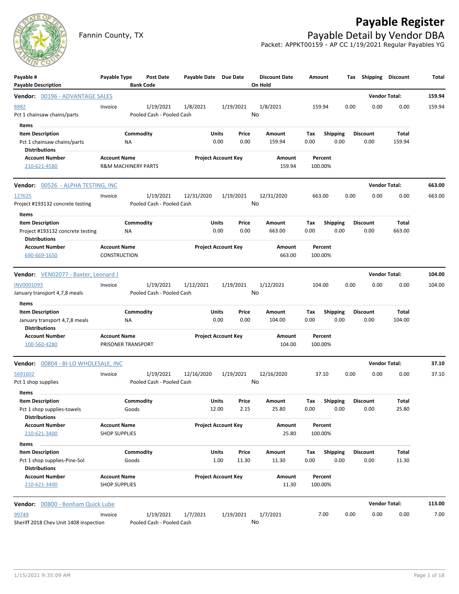



## Fannin County, TX **Payable Detail by Vendor DBA** Packet: APPKT00159 - AP CC 1/19/2021 Regular Payables YG

| Payable #<br><b>Payable Description</b>                                                      | Payable Type                                          | <b>Bank Code</b>   | <b>Post Date</b>                       | Payable Date Due Date      |                |                | <b>Discount Date</b><br>On Hold | Amount      |                         | Tax  | Shipping                | <b>Discount</b>        | Total  |
|----------------------------------------------------------------------------------------------|-------------------------------------------------------|--------------------|----------------------------------------|----------------------------|----------------|----------------|---------------------------------|-------------|-------------------------|------|-------------------------|------------------------|--------|
| Vendor: 00196 - ADVANTAGE SALES                                                              |                                                       |                    |                                        |                            |                |                |                                 |             |                         |      |                         | <b>Vendor Total:</b>   | 159.94 |
| 8882<br>Pct 1 chainsaw chains/parts                                                          | Invoice                                               |                    | 1/19/2021<br>Pooled Cash - Pooled Cash | 1/8/2021                   |                | 1/19/2021      | 1/8/2021<br>No                  | 159.94      |                         | 0.00 | 0.00                    | 0.00                   | 159.94 |
| Items<br><b>Item Description</b><br>Pct 1 chainsaw chains/parts<br><b>Distributions</b>      | ΝA                                                    | Commodity          |                                        |                            | Units<br>0.00  | Price<br>0.00  | Amount<br>159.94                | Tax<br>0.00 | <b>Shipping</b><br>0.00 |      | <b>Discount</b><br>0.00 | Total<br>159.94        |        |
| <b>Account Number</b><br>210-621-4580                                                        | <b>Account Name</b><br><b>R&amp;M MACHINERY PARTS</b> |                    |                                        | <b>Project Account Key</b> |                |                | Amount<br>159.94                |             | Percent<br>100.00%      |      |                         |                        |        |
| <b>Vendor: 00526 - ALPHA TESTING, INC</b>                                                    |                                                       |                    |                                        |                            |                |                |                                 |             |                         |      |                         | <b>Vendor Total:</b>   | 663.00 |
| 127625<br>Project #193132 concrete testing                                                   | Invoice                                               |                    | 1/19/2021<br>Pooled Cash - Pooled Cash | 12/31/2020                 |                | 1/19/2021      | 12/31/2020<br>No                | 663.00      |                         | 0.00 | 0.00                    | 0.00                   | 663.00 |
| Items<br><b>Item Description</b><br>Project #193132 concrete testing<br><b>Distributions</b> | ΝA                                                    | Commodity          |                                        |                            | Units<br>0.00  | Price<br>0.00  | Amount<br>663.00                | Tax<br>0.00 | <b>Shipping</b><br>0.00 |      | <b>Discount</b><br>0.00 | Total<br>663.00        |        |
| <b>Account Number</b><br>690-669-1650                                                        | <b>Account Name</b><br><b>CONSTRUCTION</b>            |                    |                                        | <b>Project Account Key</b> |                |                | Amount<br>663.00                |             | Percent<br>100.00%      |      |                         |                        |        |
| Vendor: VEN02077 - Baxter, Leonard J                                                         |                                                       |                    |                                        |                            |                |                |                                 |             |                         |      |                         | <b>Vendor Total:</b>   | 104.00 |
| INV0001093<br>January transport 4,7,8 meals                                                  | Invoice                                               |                    | 1/19/2021<br>Pooled Cash - Pooled Cash | 1/12/2021                  |                | 1/19/2021      | 1/12/2021<br>No                 | 104.00      |                         | 0.00 | 0.00                    | 0.00                   | 104.00 |
| Items<br><b>Item Description</b><br>January transport 4,7,8 meals<br><b>Distributions</b>    | ΝA                                                    | Commodity          |                                        |                            | Units<br>0.00  | Price<br>0.00  | Amount<br>104.00                | Tax<br>0.00 | <b>Shipping</b><br>0.00 |      | <b>Discount</b><br>0.00 | <b>Total</b><br>104.00 |        |
| <b>Account Number</b><br>100-560-4280                                                        | <b>Account Name</b><br>PRISONER TRANSPORT             |                    |                                        | <b>Project Account Key</b> |                |                | Amount<br>104.00                |             | Percent<br>100.00%      |      |                         |                        |        |
| <b>Vendor:</b> 00804 - BI-LO WHOLESALE, INC                                                  |                                                       |                    |                                        |                            |                |                |                                 |             |                         |      |                         | <b>Vendor Total:</b>   | 37.10  |
| 5691602<br>Pct 1 shop supplies                                                               | Invoice                                               |                    | 1/19/2021<br>Pooled Cash - Pooled Cash | 12/16/2020                 |                | 1/19/2021      | 12/16/2020<br>No                |             | 37.10                   | 0.00 | 0.00                    | 0.00                   | 37.10  |
| Items<br><b>Item Description</b><br>Pct 1 shop supplies-towels<br><b>Distributions</b>       |                                                       | Commodity<br>Goods |                                        |                            | Units<br>12.00 | Price<br>2.15  | Amount<br>25.80                 | Tax<br>0.00 | <b>Shipping</b><br>0.00 |      | <b>Discount</b><br>0.00 | Total<br>25.80         |        |
| <b>Account Number</b><br>210-621-3400                                                        | <b>Account Name</b><br><b>SHOP SUPPLIES</b>           |                    |                                        | <b>Project Account Key</b> |                |                | Amount<br>25.80                 |             | Percent<br>100.00%      |      |                         |                        |        |
| Items                                                                                        |                                                       |                    |                                        |                            |                |                |                                 |             |                         |      |                         |                        |        |
| <b>Item Description</b><br>Pct 1 shop supplies-Pine-Sol<br><b>Distributions</b>              |                                                       | Commodity<br>Goods |                                        |                            | Units<br>1.00  | Price<br>11.30 | Amount<br>11.30                 | Tax<br>0.00 | <b>Shipping</b><br>0.00 |      | <b>Discount</b><br>0.00 | <b>Total</b><br>11.30  |        |
| <b>Account Number</b><br>210-621-3400                                                        | <b>Account Name</b><br><b>SHOP SUPPLIES</b>           |                    |                                        | <b>Project Account Key</b> |                |                | Amount<br>11.30                 |             | Percent<br>100.00%      |      |                         |                        |        |
| Vendor: 00800 - Bonham Quick Lube                                                            |                                                       |                    |                                        |                            |                |                |                                 |             |                         |      |                         | <b>Vendor Total:</b>   | 113.00 |
| 99749<br>Sheriff 2018 Chev Unit 1408 inspection                                              | Invoice                                               |                    | 1/19/2021<br>Pooled Cash - Pooled Cash | 1/7/2021                   |                | 1/19/2021      | 1/7/2021<br>No                  |             | 7.00                    | 0.00 | 0.00                    | 0.00                   | 7.00   |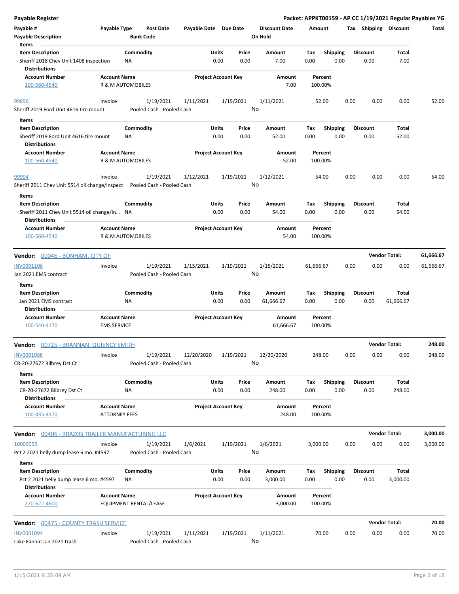| <b>Payable Register</b>                                                                    |                                             |                        |                                        |                       |               |                            |                                 |                    |                         |      |                         |                   | Packet: APPKT00159 - AP CC 1/19/2021 Regular Payables YG |
|--------------------------------------------------------------------------------------------|---------------------------------------------|------------------------|----------------------------------------|-----------------------|---------------|----------------------------|---------------------------------|--------------------|-------------------------|------|-------------------------|-------------------|----------------------------------------------------------|
| Payable #<br><b>Payable Description</b>                                                    | Payable Type                                | <b>Bank Code</b>       | <b>Post Date</b>                       | Payable Date Due Date |               |                            | <b>Discount Date</b><br>On Hold | Amount             |                         |      | Tax Shipping Discount   |                   | Total                                                    |
| Items                                                                                      |                                             |                        |                                        |                       |               |                            |                                 |                    |                         |      |                         |                   |                                                          |
| <b>Item Description</b><br>Sheriff 2018 Chev Unit 1408 inspection<br><b>Distributions</b>  |                                             | Commodity<br>NA        |                                        |                       | Units<br>0.00 | Price<br>0.00              | Amount<br>7.00                  | Tax<br>0.00        | <b>Shipping</b><br>0.00 |      | <b>Discount</b><br>0.00 | Total<br>7.00     |                                                          |
| <b>Account Number</b><br>100-560-4540                                                      | <b>Account Name</b>                         | R & M AUTOMOBILES      |                                        |                       |               | <b>Project Account Key</b> | Amount<br>7.00                  | Percent<br>100.00% |                         |      |                         |                   |                                                          |
| 99896                                                                                      | Invoice                                     |                        | 1/19/2021                              | 1/11/2021             |               | 1/19/2021                  | 1/11/2021                       | 52.00              |                         | 0.00 | 0.00                    | 0.00              | 52.00                                                    |
| Sheriff 2019 Ford Unit 4616 tire mount                                                     |                                             |                        | Pooled Cash - Pooled Cash              |                       |               |                            | No                              |                    |                         |      |                         |                   |                                                          |
| Items<br><b>Item Description</b>                                                           |                                             | Commodity              |                                        |                       | Units         | Price                      | Amount                          | Tax                | <b>Shipping</b>         |      | <b>Discount</b>         | Total             |                                                          |
| Sheriff 2019 Ford Unit 4616 tire mount<br><b>Distributions</b>                             |                                             | <b>NA</b>              |                                        |                       | 0.00          | 0.00                       | 52.00                           | 0.00               | 0.00                    |      | 0.00                    | 52.00             |                                                          |
| <b>Account Number</b><br>100-560-4540                                                      | <b>Account Name</b>                         | R & M AUTOMOBILES      |                                        |                       |               | <b>Project Account Key</b> | Amount<br>52.00                 | Percent<br>100.00% |                         |      |                         |                   |                                                          |
| 99994                                                                                      | Invoice                                     |                        | 1/19/2021                              | 1/12/2021             |               | 1/19/2021                  | 1/12/2021                       | 54.00              |                         | 0.00 | 0.00                    | 0.00              | 54.00                                                    |
| Sheriff 2011 Chev Unit 5514 oil change/inspect                                             |                                             |                        | Pooled Cash - Pooled Cash              |                       |               |                            | No                              |                    |                         |      |                         |                   |                                                          |
| Items<br><b>Item Description</b>                                                           |                                             | Commodity              |                                        |                       | Units         | Price                      | Amount                          | Tax                | <b>Shipping</b>         |      | <b>Discount</b>         | Total             |                                                          |
| Sheriff 2011 Chev Unit 5514 oil change/in NA<br><b>Distributions</b>                       |                                             |                        |                                        |                       | 0.00          | 0.00                       | 54.00                           | 0.00               | 0.00                    |      | 0.00                    | 54.00             |                                                          |
| <b>Account Number</b><br>100-560-4540                                                      | <b>Account Name</b>                         | R & M AUTOMOBILES      |                                        |                       |               | <b>Project Account Key</b> | Amount<br>54.00                 | Percent<br>100.00% |                         |      |                         |                   |                                                          |
| Vendor: 00046 - BONHAM, CITY OF                                                            |                                             |                        |                                        |                       |               |                            |                                 |                    |                         |      | <b>Vendor Total:</b>    |                   | 61,666.67                                                |
| <b>INV0001106</b>                                                                          | Invoice                                     |                        | 1/19/2021                              | 1/15/2021             |               | 1/19/2021                  | 1/15/2021                       | 61,666.67          |                         | 0.00 | 0.00                    | 0.00              | 61,666.67                                                |
| Jan 2021 EMS contract<br>Items                                                             |                                             |                        | Pooled Cash - Pooled Cash              |                       |               |                            | No                              |                    |                         |      |                         |                   |                                                          |
| <b>Item Description</b>                                                                    |                                             | Commodity              |                                        |                       | Units         | Price                      | Amount                          | Tax                | <b>Shipping</b>         |      | <b>Discount</b>         | Total             |                                                          |
| Jan 2021 EMS contract<br><b>Distributions</b>                                              |                                             | ΝA                     |                                        |                       | 0.00          | 0.00                       | 61,666.67                       | 0.00               | 0.00                    |      | 0.00                    | 61,666.67         |                                                          |
| <b>Account Number</b><br>100-540-4170                                                      | <b>Account Name</b><br><b>EMS SERVICE</b>   |                        |                                        |                       |               | <b>Project Account Key</b> | Amount<br>61,666.67             | Percent<br>100.00% |                         |      |                         |                   |                                                          |
| <b>Vendor: 00725 - BRANNAN, QUIENCY SMITH</b>                                              |                                             |                        |                                        |                       |               |                            |                                 |                    |                         |      | <b>Vendor Total:</b>    |                   | 248.00                                                   |
| INV0001088<br>CR-20-27672 Bilbrey Dst Ct                                                   | Invoice                                     |                        | 1/19/2021<br>Pooled Cash - Pooled Cash | 12/20/2020            |               | 1/19/2021                  | 12/20/2020<br>No                | 248.00             |                         | 0.00 | 0.00                    | 0.00              | 248.00                                                   |
| Items                                                                                      |                                             |                        |                                        |                       |               |                            |                                 |                    |                         |      |                         |                   |                                                          |
| <b>Item Description</b><br>CR-20-27672 Bilbrey Dst Ct<br><b>Distributions</b>              |                                             | Commodity<br>ΝA        |                                        |                       | Units<br>0.00 | Price<br>0.00              | Amount<br>248.00                | Tax<br>0.00        | <b>Shipping</b><br>0.00 |      | <b>Discount</b><br>0.00 | Total<br>248.00   |                                                          |
| <b>Account Number</b><br>100-435-4370                                                      | <b>Account Name</b><br><b>ATTORNEY FEES</b> |                        |                                        |                       |               | <b>Project Account Key</b> | Amount<br>248.00                | Percent<br>100.00% |                         |      |                         |                   |                                                          |
| <b>Vendor:</b> 00406 - BRAZOS TRAILER MANUFACTURING LLC                                    |                                             |                        |                                        |                       |               |                            |                                 |                    |                         |      | <b>Vendor Total:</b>    |                   | 3,000.00                                                 |
| 10009055<br>Pct 2 2021 belly dump lease 6 mo. #4597                                        | Invoice                                     |                        | 1/19/2021<br>Pooled Cash - Pooled Cash | 1/6/2021              |               | 1/19/2021                  | 1/6/2021<br>No                  | 3,000.00           |                         | 0.00 | 0.00                    | 0.00              | 3,000.00                                                 |
| Items                                                                                      |                                             |                        |                                        |                       |               |                            |                                 |                    |                         |      |                         |                   |                                                          |
| <b>Item Description</b><br>Pct 2 2021 belly dump lease 6 mo. #4597<br><b>Distributions</b> |                                             | Commodity<br>NA        |                                        |                       | Units<br>0.00 | Price<br>0.00              | Amount<br>3,000.00              | Tax<br>0.00        | Shipping<br>0.00        |      | <b>Discount</b><br>0.00 | Total<br>3,000.00 |                                                          |
| <b>Account Number</b><br>220-622-4600                                                      | <b>Account Name</b>                         | EQUIPMENT RENTAL/LEASE |                                        |                       |               | <b>Project Account Key</b> | Amount<br>3,000.00              | Percent<br>100.00% |                         |      |                         |                   |                                                          |
| <b>Vendor: 00475 - COUNTY TRASH SERVICE</b>                                                |                                             |                        |                                        |                       |               |                            |                                 |                    |                         |      | <b>Vendor Total:</b>    |                   | 70.00                                                    |
| <b>INV0001094</b>                                                                          | Invoice                                     |                        | 1/19/2021                              | 1/11/2021             |               | 1/19/2021                  | 1/11/2021                       | 70.00              |                         | 0.00 | 0.00                    | 0.00              | 70.00                                                    |
| Lake Fannin Jan 2021 trash                                                                 |                                             |                        | Pooled Cash - Pooled Cash              |                       |               |                            | No                              |                    |                         |      |                         |                   |                                                          |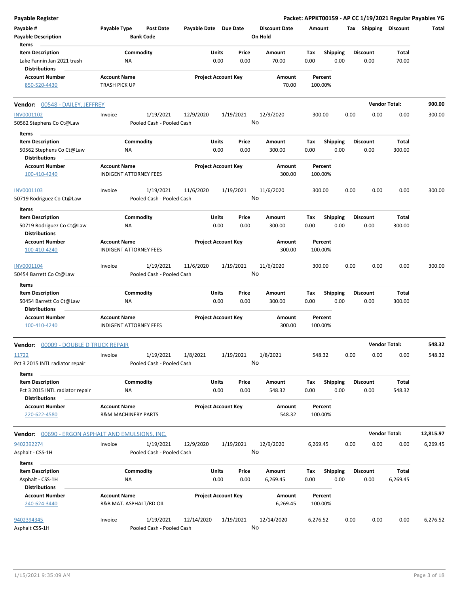| <b>Payable Register</b>                                  |                                |                                        |                       |                            |    |                      |          |                         |      |                       |                      | Packet: APPKT00159 - AP CC 1/19/2021 Regular Payables YG |
|----------------------------------------------------------|--------------------------------|----------------------------------------|-----------------------|----------------------------|----|----------------------|----------|-------------------------|------|-----------------------|----------------------|----------------------------------------------------------|
| Payable #                                                | Payable Type                   | <b>Post Date</b>                       | Payable Date Due Date |                            |    | <b>Discount Date</b> | Amount   |                         |      | Tax Shipping Discount |                      | Total                                                    |
| <b>Payable Description</b>                               | <b>Bank Code</b>               |                                        |                       |                            |    | On Hold              |          |                         |      |                       |                      |                                                          |
| Items                                                    |                                |                                        |                       |                            |    |                      |          |                         |      |                       |                      |                                                          |
| <b>Item Description</b>                                  | Commodity                      |                                        |                       | Price<br>Units             |    | Amount               | Tax      | <b>Shipping</b>         |      | <b>Discount</b>       | Total                |                                                          |
| Lake Fannin Jan 2021 trash                               | NA                             |                                        |                       | 0.00<br>0.00               |    | 70.00                | 0.00     | 0.00                    |      | 0.00                  | 70.00                |                                                          |
| <b>Distributions</b>                                     |                                |                                        |                       |                            |    |                      |          |                         |      |                       |                      |                                                          |
| <b>Account Number</b>                                    | <b>Account Name</b>            |                                        |                       | <b>Project Account Key</b> |    | Amount               |          | Percent                 |      |                       |                      |                                                          |
| 850-520-4430                                             | <b>TRASH PICK UP</b>           |                                        |                       |                            |    | 70.00                |          | 100.00%                 |      |                       |                      |                                                          |
| <b>Vendor: 00548 - DAILEY, JEFFREY</b>                   |                                |                                        |                       |                            |    |                      |          |                         |      |                       | <b>Vendor Total:</b> | 900.00                                                   |
| INV0001102                                               | Invoice                        | 1/19/2021                              | 12/9/2020             | 1/19/2021                  |    | 12/9/2020            | 300.00   |                         | 0.00 | 0.00                  | 0.00                 | 300.00                                                   |
| 50562 Stephens Co Ct@Law                                 |                                | Pooled Cash - Pooled Cash              |                       |                            | No |                      |          |                         |      |                       |                      |                                                          |
|                                                          |                                |                                        |                       |                            |    |                      |          |                         |      |                       |                      |                                                          |
| Items                                                    |                                |                                        |                       |                            |    |                      |          |                         |      |                       |                      |                                                          |
| <b>Item Description</b>                                  | Commodity                      |                                        |                       | Units<br>Price             |    | Amount               | Tax      | <b>Shipping</b><br>0.00 |      | <b>Discount</b>       | Total                |                                                          |
| 50562 Stephens Co Ct@Law<br><b>Distributions</b>         | ΝA                             |                                        |                       | 0.00<br>0.00               |    | 300.00               | 0.00     |                         |      | 0.00                  | 300.00               |                                                          |
| <b>Account Number</b>                                    |                                |                                        |                       | <b>Project Account Key</b> |    |                      |          | Percent                 |      |                       |                      |                                                          |
|                                                          | <b>Account Name</b>            |                                        |                       |                            |    | Amount<br>300.00     |          |                         |      |                       |                      |                                                          |
| 100-410-4240                                             | INDIGENT ATTORNEY FEES         |                                        |                       |                            |    |                      |          | 100.00%                 |      |                       |                      |                                                          |
|                                                          |                                |                                        |                       |                            |    |                      |          |                         | 0.00 | 0.00                  | 0.00                 | 300.00                                                   |
| INV0001103                                               | Invoice                        | 1/19/2021<br>Pooled Cash - Pooled Cash | 11/6/2020             | 1/19/2021                  | No | 11/6/2020            | 300.00   |                         |      |                       |                      |                                                          |
| 50719 Rodriguez Co Ct@Law                                |                                |                                        |                       |                            |    |                      |          |                         |      |                       |                      |                                                          |
| Items                                                    |                                |                                        |                       |                            |    |                      |          |                         |      |                       |                      |                                                          |
| <b>Item Description</b>                                  | Commodity                      |                                        |                       | Units<br>Price             |    | Amount               | Tax      | <b>Shipping</b>         |      | <b>Discount</b>       | Total                |                                                          |
| 50719 Rodriguez Co Ct@Law                                | ΝA                             |                                        |                       | 0.00<br>0.00               |    | 300.00               | 0.00     | 0.00                    |      | 0.00                  | 300.00               |                                                          |
| <b>Distributions</b>                                     |                                |                                        |                       |                            |    |                      |          |                         |      |                       |                      |                                                          |
| <b>Account Number</b>                                    | <b>Account Name</b>            |                                        |                       | <b>Project Account Key</b> |    | Amount               |          | Percent                 |      |                       |                      |                                                          |
| 100-410-4240                                             | <b>INDIGENT ATTORNEY FEES</b>  |                                        |                       |                            |    | 300.00               |          | 100.00%                 |      |                       |                      |                                                          |
| INV0001104                                               | Invoice                        | 1/19/2021                              | 11/6/2020             | 1/19/2021                  |    | 11/6/2020            | 300.00   |                         | 0.00 | 0.00                  | 0.00                 | 300.00                                                   |
| 50454 Barrett Co Ct@Law                                  |                                | Pooled Cash - Pooled Cash              |                       |                            | No |                      |          |                         |      |                       |                      |                                                          |
| Items                                                    |                                |                                        |                       |                            |    |                      |          |                         |      |                       |                      |                                                          |
| <b>Item Description</b>                                  | Commodity                      |                                        |                       | Units<br>Price             |    | Amount               | Tax      | <b>Shipping</b>         |      | <b>Discount</b>       | Total                |                                                          |
| 50454 Barrett Co Ct@Law                                  | NA                             |                                        |                       | 0.00<br>0.00               |    | 300.00               | 0.00     | 0.00                    |      | 0.00                  | 300.00               |                                                          |
| <b>Distributions</b>                                     |                                |                                        |                       |                            |    |                      |          |                         |      |                       |                      |                                                          |
| <b>Account Number</b>                                    | <b>Account Name</b>            |                                        |                       | <b>Project Account Key</b> |    | Amount               |          | Percent                 |      |                       |                      |                                                          |
| 100-410-4240                                             | <b>INDIGENT ATTORNEY FEES</b>  |                                        |                       |                            |    | 300.00               |          | 100.00%                 |      |                       |                      |                                                          |
| Vendor: 00009 - DOUBLE D TRUCK REPAIR                    |                                |                                        |                       |                            |    |                      |          |                         |      |                       | <b>Vendor Total:</b> | 548.32                                                   |
|                                                          |                                |                                        |                       |                            |    |                      |          |                         |      |                       |                      |                                                          |
| 11722                                                    | Invoice                        | 1/19/2021<br>Pooled Cash - Pooled Cash | 1/8/2021              | 1/19/2021                  | No | 1/8/2021             | 548.32   |                         | 0.00 | 0.00                  | 0.00                 | 548.32                                                   |
| Pct 3 2015 INTL radiator repair                          |                                |                                        |                       |                            |    |                      |          |                         |      |                       |                      |                                                          |
| Items                                                    |                                |                                        |                       |                            |    |                      |          |                         |      |                       |                      |                                                          |
| <b>Item Description</b>                                  | Commodity                      |                                        |                       | Units<br>Price             |    | Amount               | Tax      | Shipping                |      | Discount              | Total                |                                                          |
| Pct 3 2015 INTL radiator repair                          | ΝA                             |                                        |                       | 0.00<br>0.00               |    | 548.32               | 0.00     | 0.00                    |      | 0.00                  | 548.32               |                                                          |
| <b>Distributions</b>                                     |                                |                                        |                       |                            |    |                      |          |                         |      |                       |                      |                                                          |
| <b>Account Number</b>                                    | <b>Account Name</b>            |                                        |                       | <b>Project Account Key</b> |    | Amount               |          | Percent                 |      |                       |                      |                                                          |
| 220-622-4580                                             | <b>R&amp;M MACHINERY PARTS</b> |                                        |                       |                            |    | 548.32               |          | 100.00%                 |      |                       |                      |                                                          |
| <b>Vendor:</b> 00690 - ERGON ASPHALT AND EMULSIONS, INC. |                                |                                        |                       |                            |    |                      |          |                         |      |                       | <b>Vendor Total:</b> | 12,815.97                                                |
| 9402392274                                               | Invoice                        | 1/19/2021                              | 12/9/2020             | 1/19/2021                  |    | 12/9/2020            | 6,269.45 |                         | 0.00 | 0.00                  | 0.00                 | 6,269.45                                                 |
| Asphalt - CSS-1H                                         |                                | Pooled Cash - Pooled Cash              |                       |                            | No |                      |          |                         |      |                       |                      |                                                          |
|                                                          |                                |                                        |                       |                            |    |                      |          |                         |      |                       |                      |                                                          |
| Items                                                    |                                |                                        |                       |                            |    |                      |          |                         |      |                       |                      |                                                          |
| <b>Item Description</b>                                  | Commodity                      |                                        |                       | Units<br>Price             |    | Amount               | Tax      | <b>Shipping</b>         |      | Discount              | Total                |                                                          |
| Asphalt - CSS-1H                                         | ΝA                             |                                        |                       | 0.00<br>0.00               |    | 6,269.45             | 0.00     | 0.00                    |      | 0.00                  | 6,269.45             |                                                          |
| <b>Distributions</b>                                     |                                |                                        |                       |                            |    |                      |          |                         |      |                       |                      |                                                          |
| <b>Account Number</b>                                    | <b>Account Name</b>            |                                        |                       | <b>Project Account Key</b> |    | Amount               |          | Percent                 |      |                       |                      |                                                          |
| 240-624-3440                                             | R&B MAT. ASPHALT/RD OIL        |                                        |                       |                            |    | 6,269.45             |          | 100.00%                 |      |                       |                      |                                                          |
|                                                          |                                |                                        |                       |                            |    |                      |          |                         |      |                       |                      |                                                          |
| 9402394345                                               | Invoice                        | 1/19/2021                              | 12/14/2020            | 1/19/2021                  |    | 12/14/2020           | 6,276.52 |                         | 0.00 | 0.00                  | 0.00                 | 6,276.52                                                 |
| Asphalt CSS-1H                                           |                                | Pooled Cash - Pooled Cash              |                       |                            | No |                      |          |                         |      |                       |                      |                                                          |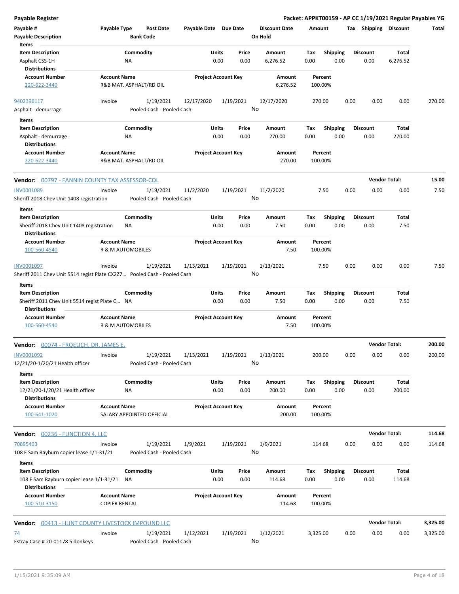| <b>Payable Register</b>                                                                                   |                                                     |                                        |                       |                            |               |                                 |             |                         |                 |                      | Packet: APPKT00159 - AP CC 1/19/2021 Regular Payables YG |          |
|-----------------------------------------------------------------------------------------------------------|-----------------------------------------------------|----------------------------------------|-----------------------|----------------------------|---------------|---------------------------------|-------------|-------------------------|-----------------|----------------------|----------------------------------------------------------|----------|
| Payable #<br><b>Payable Description</b>                                                                   | Payable Type                                        | <b>Post Date</b><br><b>Bank Code</b>   | Payable Date Due Date |                            |               | <b>Discount Date</b><br>On Hold | Amount      |                         |                 |                      | Tax Shipping Discount                                    | Total    |
| Items<br><b>Item Description</b><br>Asphalt CSS-1H<br><b>Distributions</b>                                |                                                     | Commodity<br>NA                        |                       | Units<br>0.00              | Price<br>0.00 | Amount<br>6,276.52              | Tax<br>0.00 | Shipping<br>0.00        | <b>Discount</b> | 0.00                 | Total<br>6,276.52                                        |          |
| <b>Account Number</b><br>220-622-3440                                                                     | <b>Account Name</b>                                 | R&B MAT. ASPHALT/RD OIL                |                       | <b>Project Account Key</b> |               | Amount<br>6,276.52              |             | Percent<br>100.00%      |                 |                      |                                                          |          |
| 9402396117<br>Asphalt - demurrage                                                                         | Invoice                                             | 1/19/2021<br>Pooled Cash - Pooled Cash | 12/17/2020            | 1/19/2021                  |               | 12/17/2020<br>No                | 270.00      |                         | 0.00            | 0.00                 | 0.00                                                     | 270.00   |
| Items<br><b>Item Description</b><br>Asphalt - demurrage<br><b>Distributions</b>                           |                                                     | Commodity<br>ΝA                        |                       | Units<br>0.00              | Price<br>0.00 | Amount<br>270.00                | Tax<br>0.00 | <b>Shipping</b><br>0.00 | <b>Discount</b> | 0.00                 | Total<br>270.00                                          |          |
| <b>Account Number</b><br>220-622-3440                                                                     | <b>Account Name</b>                                 | R&B MAT. ASPHALT/RD OIL                |                       | <b>Project Account Key</b> |               | Amount<br>270.00                |             | Percent<br>100.00%      |                 |                      |                                                          |          |
| Vendor: 00797 - FANNIN COUNTY TAX ASSESSOR-COL                                                            |                                                     |                                        |                       |                            |               |                                 |             |                         |                 | <b>Vendor Total:</b> |                                                          | 15.00    |
| INV0001089<br>Sheriff 2018 Chev Unit 1408 registration                                                    | Invoice                                             | 1/19/2021<br>Pooled Cash - Pooled Cash | 11/2/2020             | 1/19/2021                  | No            | 11/2/2020                       |             | 7.50                    | 0.00            | 0.00                 | 0.00                                                     | 7.50     |
| Items<br><b>Item Description</b><br>Sheriff 2018 Chev Unit 1408 registration<br><b>Distributions</b>      |                                                     | Commodity<br>ΝA                        |                       | Units<br>0.00              | Price<br>0.00 | Amount<br>7.50                  | Tax<br>0.00 | <b>Shipping</b><br>0.00 | <b>Discount</b> | 0.00                 | Total<br>7.50                                            |          |
| <b>Account Number</b><br>100-560-4540                                                                     | <b>Account Name</b><br>R & M AUTOMOBILES            |                                        |                       | <b>Project Account Key</b> |               | Amount<br>7.50                  |             | Percent<br>100.00%      |                 |                      |                                                          |          |
| INV0001097<br>Sheriff 2011 Chev Unit 5514 regist Plate CX2Z7 Pooled Cash - Pooled Cash                    | Invoice                                             | 1/19/2021                              | 1/13/2021             | 1/19/2021                  |               | 1/13/2021<br>No                 |             | 7.50                    | 0.00            | 0.00                 | 0.00                                                     | 7.50     |
| Items<br><b>Item Description</b><br>Sheriff 2011 Chev Unit 5514 regist Plate C NA<br><b>Distributions</b> |                                                     | Commodity                              |                       | Units<br>0.00              | Price<br>0.00 | Amount<br>7.50                  | Tax<br>0.00 | <b>Shipping</b><br>0.00 | <b>Discount</b> | 0.00                 | Total<br>7.50                                            |          |
| <b>Account Number</b><br>100-560-4540                                                                     | <b>Account Name</b><br><b>R &amp; M AUTOMOBILES</b> |                                        |                       | <b>Project Account Key</b> |               | Amount<br>7.50                  |             | Percent<br>100.00%      |                 |                      |                                                          |          |
| Vendor: 00074 - FROELICH, DR. JAMES E.                                                                    |                                                     |                                        |                       |                            |               |                                 |             |                         |                 | <b>Vendor Total:</b> |                                                          | 200.00   |
| INV0001092<br>12/21/20-1/20/21 Health officer                                                             | Invoice                                             | 1/19/2021<br>Pooled Cash - Pooled Cash | 1/13/2021             | 1/19/2021                  |               | 1/13/2021<br>No                 | 200.00      |                         | 0.00            | 0.00                 | 0.00                                                     | 200.00   |
| Items<br><b>Item Description</b><br>12/21/20-1/20/21 Health officer<br><b>Distributions</b>               |                                                     | Commodity<br>ΝA                        |                       | Units<br>0.00              | Price<br>0.00 | Amount<br>200.00                | Tax<br>0.00 | Shipping<br>0.00        | <b>Discount</b> | 0.00                 | Total<br>200.00                                          |          |
| <b>Account Number</b><br>100-641-1020                                                                     | <b>Account Name</b>                                 | SALARY APPOINTED OFFICIAL              |                       | <b>Project Account Key</b> |               | Amount<br>200.00                |             | Percent<br>100.00%      |                 |                      |                                                          |          |
| <b>Vendor:</b> 00236 - FUNCTION 4, LLC                                                                    |                                                     |                                        |                       |                            |               |                                 |             |                         |                 | <b>Vendor Total:</b> |                                                          | 114.68   |
| 70895403<br>108 E Sam Rayburn copier lease 1/1-31/21<br>Items                                             | Invoice                                             | 1/19/2021<br>Pooled Cash - Pooled Cash | 1/9/2021              | 1/19/2021                  | No            | 1/9/2021                        | 114.68      |                         | 0.00            | 0.00                 | 0.00                                                     | 114.68   |
| <b>Item Description</b><br>108 E Sam Rayburn copier lease 1/1-31/21<br><b>Distributions</b>               |                                                     | Commodity<br>ΝA                        |                       | <b>Units</b><br>0.00       | Price<br>0.00 | Amount<br>114.68                | Tax<br>0.00 | <b>Shipping</b><br>0.00 | <b>Discount</b> | 0.00                 | Total<br>114.68                                          |          |
| <b>Account Number</b><br>100-510-3150                                                                     | <b>Account Name</b><br><b>COPIER RENTAL</b>         |                                        |                       | <b>Project Account Key</b> |               | Amount<br>114.68                |             | Percent<br>100.00%      |                 |                      |                                                          |          |
| Vendor: 00413 - HUNT COUNTY LIVESTOCK IMPOUND LLC                                                         |                                                     |                                        |                       |                            |               |                                 |             |                         |                 | <b>Vendor Total:</b> |                                                          | 3,325.00 |
| <u>74</u><br>Estray Case # 20-01178 5 donkeys                                                             | Invoice                                             | 1/19/2021<br>Pooled Cash - Pooled Cash | 1/12/2021             | 1/19/2021                  |               | 1/12/2021<br>No                 | 3,325.00    |                         | 0.00            | 0.00                 | 0.00                                                     | 3,325.00 |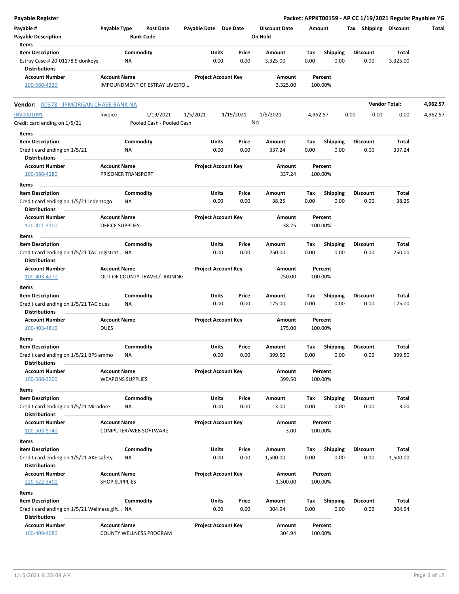| <b>Payable Register</b>                                                                    |                                               |                                        |                            |               |                   |                                 |             |                         |      |                         | Packet: APPKT00159 - AP CC 1/19/2021 Regular Payables YG |          |
|--------------------------------------------------------------------------------------------|-----------------------------------------------|----------------------------------------|----------------------------|---------------|-------------------|---------------------------------|-------------|-------------------------|------|-------------------------|----------------------------------------------------------|----------|
| Payable #<br><b>Payable Description</b>                                                    | Payable Type                                  | <b>Post Date</b><br><b>Bank Code</b>   | Payable Date Due Date      |               |                   | <b>Discount Date</b><br>On Hold | Amount      |                         |      |                         | Tax Shipping Discount                                    | Total    |
| Items                                                                                      |                                               |                                        |                            |               |                   |                                 |             |                         |      |                         |                                                          |          |
| <b>Item Description</b><br>Estray Case # 20-01178 5 donkeys<br><b>Distributions</b>        |                                               | Commodity<br>NA                        |                            | Units<br>0.00 | Price<br>0.00     | Amount<br>3,325.00              | Tax<br>0.00 | <b>Shipping</b><br>0.00 |      | Discount<br>0.00        | Total<br>3,325.00                                        |          |
| <b>Account Number</b>                                                                      | <b>Account Name</b>                           |                                        | <b>Project Account Key</b> |               |                   | Amount                          |             | Percent                 |      |                         |                                                          |          |
| 100-560-4320                                                                               |                                               | IMPOUNDMENT OF ESTRAY LIVESTO          |                            |               |                   | 3,325.00                        |             | 100.00%                 |      |                         |                                                          |          |
| Vendor: 00378 - JPMORGAN CHASE BANK NA                                                     |                                               |                                        |                            |               |                   |                                 |             |                         |      |                         | <b>Vendor Total:</b>                                     | 4,962.57 |
| INV0001091<br>Credit card ending on 1/5/21                                                 | Invoice                                       | 1/19/2021<br>Pooled Cash - Pooled Cash | 1/5/2021                   |               | 1/19/2021         | 1/5/2021<br>No                  | 4,962.57    |                         | 0.00 | 0.00                    | 0.00                                                     | 4,962.57 |
| Items                                                                                      |                                               |                                        |                            |               |                   |                                 |             |                         |      |                         |                                                          |          |
| <b>Item Description</b><br>Credit card ending on 1/5/21<br><b>Distributions</b>            |                                               | Commodity<br>ΝA                        |                            | Units<br>0.00 | Price<br>0.00     | Amount<br>337.24                | Tax<br>0.00 | <b>Shipping</b><br>0.00 |      | <b>Discount</b><br>0.00 | Total<br>337.24                                          |          |
| <b>Account Number</b>                                                                      | <b>Account Name</b>                           |                                        | <b>Project Account Key</b> |               |                   | Amount                          |             | Percent                 |      |                         |                                                          |          |
| 100-560-4280<br>Items                                                                      |                                               | PRISONER TRANSPORT                     |                            |               |                   | 337.24                          |             | 100.00%                 |      |                         |                                                          |          |
| <b>Item Description</b>                                                                    |                                               | Commodity                              |                            | Units         | Price             | Amount                          | Tax         | <b>Shipping</b>         |      | Discount                | Total                                                    |          |
| Credit card ending on 1/5/21 Indentogo<br><b>Distributions</b>                             |                                               | NA                                     |                            | 0.00          | 0.00              | 38.25                           | 0.00        | 0.00                    |      | 0.00                    | 38.25                                                    |          |
| <b>Account Number</b><br>120-411-3100                                                      | <b>Account Name</b><br><b>OFFICE SUPPLIES</b> |                                        | <b>Project Account Key</b> |               |                   | Amount<br>38.25                 |             | Percent<br>100.00%      |      |                         |                                                          |          |
| Items                                                                                      |                                               |                                        |                            |               |                   |                                 |             |                         |      |                         |                                                          |          |
| <b>Item Description</b><br>Credit card ending on 1/5/21 TAC registrat NA                   |                                               | Commodity                              |                            | Units<br>0.00 | Price<br>0.00     | Amount<br>250.00                | Tax<br>0.00 | <b>Shipping</b><br>0.00 |      | <b>Discount</b><br>0.00 | Total<br>250.00                                          |          |
| <b>Distributions</b><br><b>Account Number</b><br>100-403-4270                              | <b>Account Name</b>                           | OUT OF COUNTY TRAVEL/TRAINING          | <b>Project Account Key</b> |               |                   | Amount<br>250.00                |             | Percent<br>100.00%      |      |                         |                                                          |          |
| Items                                                                                      |                                               |                                        |                            |               |                   |                                 |             |                         |      |                         |                                                          |          |
| <b>Item Description</b>                                                                    |                                               | Commodity                              |                            | Units         | Price             | Amount                          | Tax         | <b>Shipping</b>         |      | <b>Discount</b>         | Total                                                    |          |
| Credit card ending on 1/5/21 TAC dues<br><b>Distributions</b>                              |                                               | NA                                     |                            | 0.00          | 0.00              | 175.00                          | 0.00        | 0.00                    |      | 0.00                    | 175.00                                                   |          |
| <b>Account Number</b><br>100-403-4810                                                      | <b>Account Name</b><br><b>DUES</b>            |                                        | <b>Project Account Key</b> |               |                   | Amount<br>175.00                |             | Percent<br>100.00%      |      |                         |                                                          |          |
| Items                                                                                      |                                               |                                        |                            |               |                   | Amount                          |             |                         |      |                         |                                                          |          |
| <b>Item Description</b><br>Credit card ending on 1/5/21 BPS ammo<br><b>Distributions</b>   |                                               | Commodity<br>ΝA                        |                            | Units<br>0.00 | Price<br>$0.00\,$ | 399.50                          | Тах<br>0.00 | <b>Shipping</b><br>0.00 |      | <b>Discount</b><br>0.00 | <b>Total</b><br>399.50                                   |          |
| <b>Account Number</b><br>100-560-3200                                                      | <b>Account Name</b>                           | <b>WEAPONS SUPPLIES</b>                | <b>Project Account Key</b> |               |                   | Amount<br>399.50                |             | Percent<br>100.00%      |      |                         |                                                          |          |
| Items                                                                                      |                                               |                                        |                            |               |                   |                                 |             |                         |      |                         |                                                          |          |
| <b>Item Description</b>                                                                    |                                               | Commodity                              |                            | Units         | Price             | Amount                          | Тах         | <b>Shipping</b>         |      | <b>Discount</b>         | Total                                                    |          |
| Credit card ending on 1/5/21 Miradore<br><b>Distributions</b>                              |                                               | NA                                     |                            | 0.00          | 0.00              | 3.00                            | 0.00        | 0.00                    |      | 0.00                    | 3.00                                                     |          |
| <b>Account Number</b><br>100-503-5740                                                      | <b>Account Name</b>                           | COMPUTER/WEB SOFTWARE                  | <b>Project Account Key</b> |               |                   | Amount<br>3.00                  |             | Percent<br>100.00%      |      |                         |                                                          |          |
| Items                                                                                      |                                               |                                        |                            |               |                   |                                 |             |                         |      |                         |                                                          |          |
| <b>Item Description</b><br>Credit card ending on 1/5/21 AKE safety<br><b>Distributions</b> |                                               | Commodity<br>NA                        |                            | Units<br>0.00 | Price<br>0.00     | Amount<br>1,500.00              | Tax<br>0.00 | <b>Shipping</b><br>0.00 |      | Discount<br>0.00        | Total<br>1,500.00                                        |          |
| <b>Account Number</b>                                                                      | <b>Account Name</b>                           |                                        | <b>Project Account Key</b> |               |                   | Amount                          |             | Percent                 |      |                         |                                                          |          |
| 220-622-3400                                                                               | <b>SHOP SUPPLIES</b>                          |                                        |                            |               |                   | 1,500.00                        |             | 100.00%                 |      |                         |                                                          |          |
| Items                                                                                      |                                               |                                        |                            |               |                   |                                 |             |                         |      |                         |                                                          |          |
| <b>Item Description</b>                                                                    |                                               | Commodity                              |                            | Units         | Price             | Amount                          | Tax         | <b>Shipping</b>         |      | <b>Discount</b>         | Total                                                    |          |
| Credit card ending on 1/5/21 Wellness gift NA<br><b>Distributions</b>                      |                                               |                                        |                            | 0.00          | 0.00              | 304.94                          | 0.00        | 0.00                    |      | 0.00                    | 304.94                                                   |          |
| <b>Account Number</b><br>100-409-4080                                                      | <b>Account Name</b>                           | COUNTY WELLNESS PROGRAM                | <b>Project Account Key</b> |               |                   | Amount<br>304.94                |             | Percent<br>100.00%      |      |                         |                                                          |          |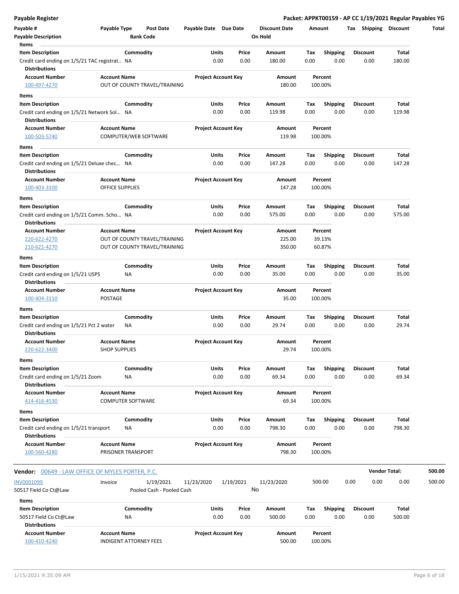| <b>Payable Register</b>                                                                          |                                             |                 |                               |                            |      |               |                      |             |                         |      |                         |                      | Packet: APPKT00159 - AP CC 1/19/2021 Regular Payables YG |
|--------------------------------------------------------------------------------------------------|---------------------------------------------|-----------------|-------------------------------|----------------------------|------|---------------|----------------------|-------------|-------------------------|------|-------------------------|----------------------|----------------------------------------------------------|
| Payable #                                                                                        | Payable Type                                |                 | <b>Post Date</b>              | Payable Date Due Date      |      |               | <b>Discount Date</b> | Amount      |                         |      | Tax Shipping Discount   |                      | Total                                                    |
| <b>Payable Description</b>                                                                       |                                             |                 | <b>Bank Code</b>              |                            |      |               | On Hold              |             |                         |      |                         |                      |                                                          |
| Items                                                                                            |                                             |                 |                               |                            |      |               |                      |             |                         |      |                         |                      |                                                          |
| <b>Item Description</b><br>Credit card ending on 1/5/21 TAC registrat NA<br><b>Distributions</b> |                                             | Commodity       |                               | Units                      | 0.00 | Price<br>0.00 | Amount<br>180.00     | Tax<br>0.00 | <b>Shipping</b><br>0.00 |      | <b>Discount</b><br>0.00 | Total<br>180.00      |                                                          |
| <b>Account Number</b><br>100-497-4270                                                            | <b>Account Name</b>                         |                 | OUT OF COUNTY TRAVEL/TRAINING | <b>Project Account Key</b> |      |               | Amount<br>180.00     |             | Percent<br>100.00%      |      |                         |                      |                                                          |
|                                                                                                  |                                             |                 |                               |                            |      |               |                      |             |                         |      |                         |                      |                                                          |
| Items<br><b>Item Description</b>                                                                 |                                             | Commodity       |                               | Units                      |      | Price         | Amount               | Tax         | <b>Shipping</b>         |      | <b>Discount</b>         | Total                |                                                          |
| Credit card ending on 1/5/21 Network Sol NA                                                      |                                             |                 |                               |                            | 0.00 | 0.00          | 119.98               | 0.00        | 0.00                    |      | 0.00                    | 119.98               |                                                          |
| <b>Distributions</b>                                                                             |                                             |                 |                               |                            |      |               |                      |             |                         |      |                         |                      |                                                          |
| <b>Account Number</b><br>100-503-5740                                                            | <b>Account Name</b>                         |                 | COMPUTER/WEB SOFTWARE         | <b>Project Account Key</b> |      |               | Amount<br>119.98     |             | Percent<br>100.00%      |      |                         |                      |                                                          |
| Items                                                                                            |                                             |                 |                               |                            |      |               |                      |             |                         |      |                         |                      |                                                          |
| <b>Item Description</b>                                                                          |                                             | Commodity       |                               | Units                      |      | Price         | Amount               | Tax         | <b>Shipping</b>         |      | <b>Discount</b>         | Total                |                                                          |
| Credit card ending on 1/5/21 Deluxe chec NA<br><b>Distributions</b>                              |                                             |                 |                               |                            | 0.00 | 0.00          | 147.28               | 0.00        | 0.00                    |      | 0.00                    | 147.28               |                                                          |
| <b>Account Number</b>                                                                            | <b>Account Name</b>                         |                 |                               | <b>Project Account Key</b> |      |               | Amount               |             | Percent                 |      |                         |                      |                                                          |
| 100-403-3100                                                                                     | <b>OFFICE SUPPLIES</b>                      |                 |                               |                            |      |               | 147.28               |             | 100.00%                 |      |                         |                      |                                                          |
| Items                                                                                            |                                             |                 |                               |                            |      |               |                      |             |                         |      |                         |                      |                                                          |
| <b>Item Description</b>                                                                          |                                             | Commodity       |                               | Units                      |      | Price         | Amount               | Tax         | <b>Shipping</b>         |      | <b>Discount</b>         | Total                |                                                          |
| Credit card ending on 1/5/21 Comm. Scho NA                                                       |                                             |                 |                               |                            | 0.00 | 0.00          | 575.00               | 0.00        | 0.00                    |      | 0.00                    | 575.00               |                                                          |
| <b>Distributions</b>                                                                             |                                             |                 |                               |                            |      |               |                      |             |                         |      |                         |                      |                                                          |
| <b>Account Number</b>                                                                            | <b>Account Name</b>                         |                 |                               | <b>Project Account Key</b> |      |               | Amount               |             | Percent                 |      |                         |                      |                                                          |
| 220-622-4270                                                                                     |                                             |                 | OUT OF COUNTY TRAVEL/TRAINING |                            |      |               | 225.00               |             | 39.13%                  |      |                         |                      |                                                          |
| 210-621-4270<br>Items                                                                            |                                             |                 | OUT OF COUNTY TRAVEL/TRAINING |                            |      |               | 350.00               |             | 60.87%                  |      |                         |                      |                                                          |
| <b>Item Description</b>                                                                          |                                             | Commodity       |                               | Units                      |      | Price         | Amount               | Tax         | <b>Shipping</b>         |      | <b>Discount</b>         | Total                |                                                          |
| Credit card ending on 1/5/21 USPS<br><b>Distributions</b>                                        |                                             | ΝA              |                               |                            | 0.00 | 0.00          | 35.00                | 0.00        | 0.00                    |      | 0.00                    | 35.00                |                                                          |
| <b>Account Number</b>                                                                            | <b>Account Name</b>                         |                 |                               | <b>Project Account Key</b> |      |               | Amount               |             | Percent                 |      |                         |                      |                                                          |
| 100-404-3110                                                                                     | POSTAGE                                     |                 |                               |                            |      |               | 35.00                |             | 100.00%                 |      |                         |                      |                                                          |
| Items                                                                                            |                                             |                 |                               |                            |      |               |                      |             |                         |      |                         |                      |                                                          |
| <b>Item Description</b><br>Credit card ending on 1/5/21 Pct 2 water                              |                                             | Commodity<br>ΝA |                               | Units                      | 0.00 | Price<br>0.00 | Amount<br>29.74      | Tax<br>0.00 | <b>Shipping</b><br>0.00 |      | <b>Discount</b><br>0.00 | Total<br>29.74       |                                                          |
| <b>Distributions</b>                                                                             |                                             |                 |                               |                            |      |               |                      |             |                         |      |                         |                      |                                                          |
| <b>Account Number</b><br>220-622-3400                                                            | <b>Account Name</b><br><b>SHOP SUPPLIES</b> |                 |                               | <b>Project Account Key</b> |      |               | Amount<br>29.74      |             | Percent<br>100.00%      |      |                         |                      |                                                          |
| Items                                                                                            |                                             |                 |                               |                            |      |               |                      |             |                         |      |                         |                      |                                                          |
| <b>Item Description</b>                                                                          |                                             | Commodity       |                               | Units                      |      | Price         | Amount               | Tax         | <b>Shipping</b>         |      | <b>Discount</b>         | Total                |                                                          |
| Credit card ending on 1/5/21 Zoom<br><b>Distributions</b>                                        |                                             | ΝA              |                               |                            | 0.00 | 0.00          | 69.34                | 0.00        | 0.00                    |      | 0.00                    | 69.34                |                                                          |
| <b>Account Number</b>                                                                            | <b>Account Name</b>                         |                 |                               | <b>Project Account Key</b> |      |               | Amount               |             | Percent                 |      |                         |                      |                                                          |
| 414-416-4530                                                                                     | <b>COMPUTER SOFTWARE</b>                    |                 |                               |                            |      |               | 69.34                |             | 100.00%                 |      |                         |                      |                                                          |
| Items                                                                                            |                                             |                 |                               |                            |      |               |                      |             |                         |      |                         |                      |                                                          |
| <b>Item Description</b>                                                                          |                                             | Commodity       |                               | Units                      |      | Price         | Amount               | Tax         | <b>Shipping</b>         |      | <b>Discount</b>         | Total                |                                                          |
| Credit card ending on 1/5/21 transport<br><b>Distributions</b>                                   |                                             | NA              |                               |                            | 0.00 | 0.00          | 798.30               | 0.00        | 0.00                    |      | 0.00                    | 798.30               |                                                          |
| <b>Account Number</b><br>100-560-4280                                                            | <b>Account Name</b><br>PRISONER TRANSPORT   |                 |                               | <b>Project Account Key</b> |      |               | Amount<br>798.30     |             | Percent<br>100.00%      |      |                         |                      |                                                          |
| <b>Vendor: 00649 - LAW OFFICE OF MYLES PORTER, P.C.</b>                                          |                                             |                 |                               |                            |      |               |                      |             |                         |      |                         | <b>Vendor Total:</b> | 500.00                                                   |
| INV0001099                                                                                       | Invoice                                     |                 | 1/19/2021                     | 11/23/2020                 |      | 1/19/2021     | 11/23/2020           |             | 500.00                  | 0.00 | 0.00                    | 0.00                 | 500.00                                                   |
| 50517 Field Co Ct@Law                                                                            |                                             |                 | Pooled Cash - Pooled Cash     |                            |      |               | No                   |             |                         |      |                         |                      |                                                          |
|                                                                                                  |                                             |                 |                               |                            |      |               |                      |             |                         |      |                         |                      |                                                          |
| Items                                                                                            |                                             |                 |                               |                            |      |               |                      |             |                         |      |                         |                      |                                                          |
| <b>Item Description</b>                                                                          |                                             | Commodity       |                               | Units                      |      | Price         | Amount               | Tax         | <b>Shipping</b>         |      | <b>Discount</b>         | Total                |                                                          |
| 50517 Field Co Ct@Law                                                                            |                                             | ΝA              |                               |                            | 0.00 | 0.00          | 500.00               | 0.00        | 0.00                    |      | 0.00                    | 500.00               |                                                          |
| <b>Distributions</b>                                                                             |                                             |                 |                               |                            |      |               |                      |             |                         |      |                         |                      |                                                          |
| <b>Account Number</b><br>100-410-4240                                                            | <b>Account Name</b>                         |                 | <b>INDIGENT ATTORNEY FEES</b> | <b>Project Account Key</b> |      |               | Amount<br>500.00     |             | Percent<br>100.00%      |      |                         |                      |                                                          |

 $\overline{a}$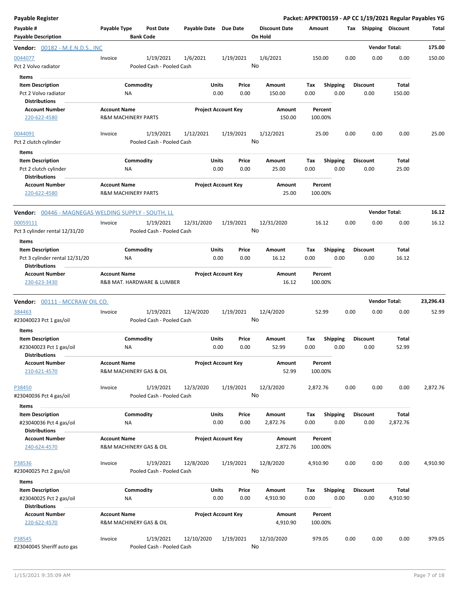| <b>Payable Register</b>                                                                 |                     |                                        |                       |                            |                                 |                    |                         | Packet: APPKT00159 - AP CC 1/19/2021 Regular Payables YG |                          |           |
|-----------------------------------------------------------------------------------------|---------------------|----------------------------------------|-----------------------|----------------------------|---------------------------------|--------------------|-------------------------|----------------------------------------------------------|--------------------------|-----------|
| Payable #<br><b>Payable Description</b>                                                 | Payable Type        | <b>Post Date</b><br><b>Bank Code</b>   | Payable Date Due Date |                            | <b>Discount Date</b><br>On Hold | Amount             |                         | Tax Shipping Discount                                    |                          | Total     |
| <b>Vendor:</b> 00182 - M.E.N.D.S., INC                                                  |                     |                                        |                       |                            |                                 |                    |                         |                                                          | <b>Vendor Total:</b>     | 175.00    |
| 0044077<br>Pct 2 Volvo radiator                                                         | Invoice             | 1/19/2021<br>Pooled Cash - Pooled Cash | 1/6/2021              | 1/19/2021                  | 1/6/2021<br>No                  | 150.00             |                         | 0.00<br>0.00                                             | 0.00                     | 150.00    |
| <b>Items</b><br><b>Item Description</b><br>Pct 2 Volvo radiator<br><b>Distributions</b> |                     | Commodity<br>ΝA                        | Units                 | Price<br>0.00<br>0.00      | Amount<br>150.00                | Tax<br>0.00        | <b>Shipping</b><br>0.00 | <b>Discount</b><br>0.00                                  | <b>Total</b><br>150.00   |           |
| <b>Account Number</b><br>220-622-4580                                                   | <b>Account Name</b> | <b>R&amp;M MACHINERY PARTS</b>         |                       | <b>Project Account Key</b> | Amount<br>150.00                | Percent<br>100.00% |                         |                                                          |                          |           |
| 0044091<br>Pct 2 clutch cylinder<br>Items                                               | Invoice             | 1/19/2021<br>Pooled Cash - Pooled Cash | 1/12/2021             | 1/19/2021                  | 1/12/2021<br>No                 | 25.00              |                         | 0.00<br>0.00                                             | 0.00                     | 25.00     |
| <b>Item Description</b><br>Pct 2 clutch cylinder<br><b>Distributions</b>                |                     | Commodity<br><b>NA</b>                 | Units                 | Price<br>0.00<br>0.00      | Amount<br>25.00                 | Tax<br>0.00        | <b>Shipping</b><br>0.00 | <b>Discount</b><br>0.00                                  | Total<br>25.00           |           |
| <b>Account Number</b><br>220-622-4580                                                   | <b>Account Name</b> | <b>R&amp;M MACHINERY PARTS</b>         |                       | <b>Project Account Key</b> | Amount<br>25.00                 | Percent<br>100.00% |                         |                                                          |                          |           |
| <b>Vendor:</b> 00446 - MAGNEGAS WELDING SUPPLY - SOUTH, LL                              |                     |                                        |                       |                            |                                 |                    |                         |                                                          | <b>Vendor Total:</b>     | 16.12     |
| 00059111<br>Pct 3 cylinder rental 12/31/20<br>Items                                     | Invoice             | 1/19/2021<br>Pooled Cash - Pooled Cash | 12/31/2020            | 1/19/2021                  | 12/31/2020<br>No                | 16.12              |                         | 0.00<br>0.00                                             | 0.00                     | 16.12     |
| <b>Item Description</b><br>Pct 3 cylinder rental 12/31/20<br><b>Distributions</b>       |                     | Commodity<br>ΝA                        | Units                 | Price<br>0.00<br>0.00      | Amount<br>16.12                 | Tax<br>0.00        | <b>Shipping</b><br>0.00 | <b>Discount</b><br>0.00                                  | Total<br>16.12           |           |
| <b>Account Number</b><br>230-623-3430                                                   | <b>Account Name</b> | R&B MAT. HARDWARE & LUMBER             |                       | <b>Project Account Key</b> | Amount<br>16.12                 | Percent<br>100.00% |                         |                                                          |                          |           |
| <b>Vendor:</b> 00111 - MCCRAW OIL CO.                                                   |                     |                                        |                       |                            |                                 |                    |                         |                                                          | <b>Vendor Total:</b>     | 23,296.43 |
| 384463<br>#23040023 Pct 1 gas/oil                                                       | Invoice             | 1/19/2021<br>Pooled Cash - Pooled Cash | 12/4/2020             | 1/19/2021                  | 12/4/2020<br>No                 | 52.99              |                         | 0.00<br>0.00                                             | 0.00                     | 52.99     |
| Items<br><b>Item Description</b><br>#23040023 Pct 1 gas/oil<br><b>Distributions</b>     |                     | Commodity<br>ΝA                        | Units                 | Price<br>0.00<br>0.00      | Amount<br>52.99                 | Tax<br>0.00        | <b>Shipping</b><br>0.00 | <b>Discount</b><br>0.00                                  | Total<br>52.99           |           |
| <b>Account Number</b><br>210-621-4570                                                   | <b>Account Name</b> | R&M MACHINERY GAS & OIL                |                       | <b>Project Account Key</b> | Amount<br>52.99                 | Percent<br>100.00% |                         |                                                          |                          |           |
| P38450<br>#23040036 Pct 4 gas/oil                                                       | Invoice             | 1/19/2021<br>Pooled Cash - Pooled Cash | 12/3/2020             | 1/19/2021                  | 12/3/2020<br>No                 | 2,872.76           |                         | 0.00<br>0.00                                             | 0.00                     | 2,872.76  |
| Items<br><b>Item Description</b><br>#23040036 Pct 4 gas/oil<br><b>Distributions</b>     |                     | Commodity<br>ΝA                        | Units                 | Price<br>0.00<br>0.00      | Amount<br>2,872.76              | Tax<br>0.00        | Shipping<br>0.00        | <b>Discount</b><br>0.00                                  | Total<br>2,872.76        |           |
| <b>Account Number</b><br>240-624-4570                                                   | <b>Account Name</b> | R&M MACHINERY GAS & OIL                |                       | <b>Project Account Key</b> | Amount<br>2,872.76              | Percent<br>100.00% |                         |                                                          |                          |           |
| P38536<br>#23040025 Pct 2 gas/oil                                                       | Invoice             | 1/19/2021<br>Pooled Cash - Pooled Cash | 12/8/2020             | 1/19/2021                  | 12/8/2020<br>No                 | 4,910.90           |                         | 0.00<br>0.00                                             | 0.00                     | 4,910.90  |
| Items<br><b>Item Description</b><br>#23040025 Pct 2 gas/oil                             |                     | Commodity<br>ΝA                        | Units                 | Price<br>0.00<br>0.00      | Amount<br>4,910.90              | Tax<br>0.00        | <b>Shipping</b><br>0.00 | <b>Discount</b><br>0.00                                  | <b>Total</b><br>4,910.90 |           |
| <b>Distributions</b><br><b>Account Number</b><br>220-622-4570                           | <b>Account Name</b> | R&M MACHINERY GAS & OIL                |                       | <b>Project Account Key</b> | Amount<br>4,910.90              | Percent<br>100.00% |                         |                                                          |                          |           |
| P38545<br>#23040045 Sheriff auto gas                                                    | Invoice             | 1/19/2021<br>Pooled Cash - Pooled Cash | 12/10/2020            | 1/19/2021                  | 12/10/2020<br>No                | 979.05             |                         | 0.00<br>0.00                                             | 0.00                     | 979.05    |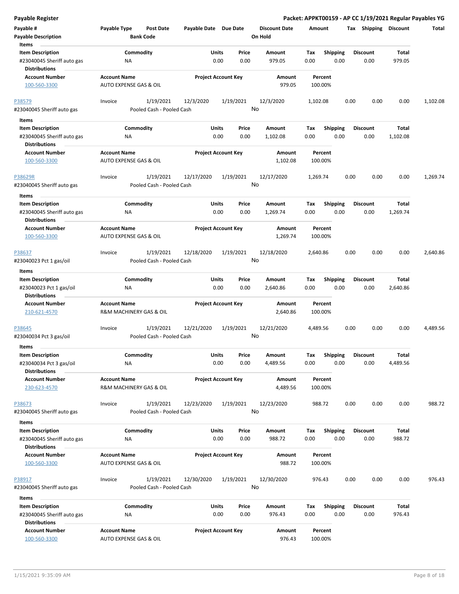| <b>Payable Register</b>                                                                |                                                          |                                        |                       |                                       |                                 |             |                         |      |                         |                          | Packet: APPKT00159 - AP CC 1/19/2021 Regular Payables YG |
|----------------------------------------------------------------------------------------|----------------------------------------------------------|----------------------------------------|-----------------------|---------------------------------------|---------------------------------|-------------|-------------------------|------|-------------------------|--------------------------|----------------------------------------------------------|
| Payable #<br><b>Payable Description</b>                                                | Payable Type                                             | <b>Post Date</b><br><b>Bank Code</b>   | Payable Date Due Date |                                       | <b>Discount Date</b><br>On Hold |             | Amount                  |      | Tax Shipping Discount   |                          | Total                                                    |
| Items<br><b>Item Description</b><br>#23040045 Sheriff auto gas<br><b>Distributions</b> | ΝA                                                       | Commodity                              |                       | <b>Units</b><br>Price<br>0.00<br>0.00 | Amount<br>979.05                | Tax<br>0.00 | <b>Shipping</b><br>0.00 |      | <b>Discount</b><br>0.00 | Total<br>979.05          |                                                          |
| <b>Account Number</b><br>100-560-3300                                                  | <b>Account Name</b><br>AUTO EXPENSE GAS & OIL            |                                        |                       | <b>Project Account Key</b>            | Amount                          | 979.05      | Percent<br>100.00%      |      |                         |                          |                                                          |
| P38579<br>#23040045 Sheriff auto gas                                                   | Invoice                                                  | 1/19/2021<br>Pooled Cash - Pooled Cash | 12/3/2020             | 1/19/2021                             | 12/3/2020<br>No                 |             | 1,102.08                | 0.00 | 0.00                    | 0.00                     | 1,102.08                                                 |
| Items<br><b>Item Description</b><br>#23040045 Sheriff auto gas<br><b>Distributions</b> | ΝA                                                       | Commodity                              |                       | Units<br>Price<br>0.00<br>0.00        | Amount<br>1,102.08              | Tax<br>0.00 | <b>Shipping</b><br>0.00 |      | <b>Discount</b><br>0.00 | Total<br>1,102.08        |                                                          |
| <b>Account Number</b><br>100-560-3300                                                  | <b>Account Name</b><br><b>AUTO EXPENSE GAS &amp; OIL</b> |                                        |                       | <b>Project Account Key</b>            | Amount<br>1,102.08              |             | Percent<br>100.00%      |      |                         |                          |                                                          |
| P38629R<br>#23040045 Sheriff auto gas                                                  | Invoice                                                  | 1/19/2021<br>Pooled Cash - Pooled Cash | 12/17/2020            | 1/19/2021                             | 12/17/2020<br>No                |             | 1,269.74                | 0.00 | 0.00                    | 0.00                     | 1,269.74                                                 |
| Items<br><b>Item Description</b><br>#23040045 Sheriff auto gas<br><b>Distributions</b> | NA                                                       | Commodity                              |                       | Units<br>Price<br>0.00<br>0.00        | Amount<br>1,269.74              | Tax<br>0.00 | <b>Shipping</b><br>0.00 |      | <b>Discount</b><br>0.00 | Total<br>1,269.74        |                                                          |
| <b>Account Number</b><br>100-560-3300                                                  | <b>Account Name</b><br>AUTO EXPENSE GAS & OIL            |                                        |                       | <b>Project Account Key</b>            | Amount<br>1,269.74              |             | Percent<br>100.00%      |      |                         |                          |                                                          |
| P38637<br>#23040023 Pct 1 gas/oil                                                      | Invoice                                                  | 1/19/2021<br>Pooled Cash - Pooled Cash | 12/18/2020            | 1/19/2021                             | 12/18/2020<br>No                |             | 2,640.86                | 0.00 | 0.00                    | 0.00                     | 2,640.86                                                 |
| Items                                                                                  |                                                          |                                        |                       |                                       |                                 |             |                         |      |                         |                          |                                                          |
| <b>Item Description</b><br>#23040023 Pct 1 gas/oil<br><b>Distributions</b>             | ΝA                                                       | Commodity                              |                       | Units<br>Price<br>0.00<br>0.00        | Amount<br>2,640.86              | Tax<br>0.00 | <b>Shipping</b><br>0.00 |      | <b>Discount</b><br>0.00 | Total<br>2,640.86        |                                                          |
| <b>Account Number</b><br>210-621-4570                                                  | <b>Account Name</b><br>R&M MACHINERY GAS & OIL           |                                        |                       | <b>Project Account Key</b>            | <b>Amount</b><br>2,640.86       |             | Percent<br>100.00%      |      |                         |                          |                                                          |
| P38645<br>#23040034 Pct 3 gas/oil<br>Items                                             | Invoice                                                  | 1/19/2021<br>Pooled Cash - Pooled Cash | 12/21/2020            | 1/19/2021                             | 12/21/2020<br>No                |             | 4,489.56                | 0.00 | 0.00                    | 0.00                     | 4,489.56                                                 |
| <b>Item Description</b><br>#23040034 Pct 3 gas/oil<br><b>Distributions</b>             | ΝA                                                       | Commodity                              |                       | Units<br>Price<br>0.00<br>0.00        | Amount<br>4,489.56              | Tax<br>0.00 | Shipping<br>0.00        |      | <b>Discount</b><br>0.00 | <b>Total</b><br>4,489.56 |                                                          |
| <b>Account Number</b><br>230-623-4570                                                  | <b>Account Name</b><br>R&M MACHINERY GAS & OIL           |                                        |                       | <b>Project Account Key</b>            | Amount<br>4,489.56              |             | Percent<br>100.00%      |      |                         |                          |                                                          |
| P38673<br>#23040045 Sheriff auto gas                                                   | Invoice                                                  | 1/19/2021<br>Pooled Cash - Pooled Cash | 12/23/2020            | 1/19/2021                             | 12/23/2020<br>No                |             | 988.72                  | 0.00 | 0.00                    | 0.00                     | 988.72                                                   |
| Items                                                                                  |                                                          |                                        |                       |                                       |                                 |             |                         |      |                         |                          |                                                          |
| <b>Item Description</b><br>#23040045 Sheriff auto gas<br><b>Distributions</b>          | ΝA                                                       | Commodity                              |                       | Units<br>Price<br>0.00<br>0.00        | Amount<br>988.72                | Тах<br>0.00 | <b>Shipping</b><br>0.00 |      | <b>Discount</b><br>0.00 | Total<br>988.72          |                                                          |
| <b>Account Number</b><br>100-560-3300                                                  | <b>Account Name</b><br>AUTO EXPENSE GAS & OIL            |                                        |                       | <b>Project Account Key</b>            | Amount                          | 988.72      | Percent<br>100.00%      |      |                         |                          |                                                          |
| P38917<br>#23040045 Sheriff auto gas                                                   | Invoice                                                  | 1/19/2021<br>Pooled Cash - Pooled Cash | 12/30/2020            | 1/19/2021                             | 12/30/2020<br>No                |             | 976.43                  | 0.00 | 0.00                    | 0.00                     | 976.43                                                   |
| Items                                                                                  |                                                          |                                        |                       |                                       |                                 |             |                         |      |                         |                          |                                                          |
| <b>Item Description</b><br>#23040045 Sheriff auto gas<br><b>Distributions</b>          | ΝA                                                       | Commodity                              |                       | Units<br>Price<br>0.00<br>0.00        | Amount<br>976.43                | Tax<br>0.00 | <b>Shipping</b><br>0.00 |      | <b>Discount</b><br>0.00 | Total<br>976.43          |                                                          |
| <b>Account Number</b><br>100-560-3300                                                  | <b>Account Name</b><br>AUTO EXPENSE GAS & OIL            |                                        |                       | <b>Project Account Key</b>            | Amount                          | 976.43      | Percent<br>100.00%      |      |                         |                          |                                                          |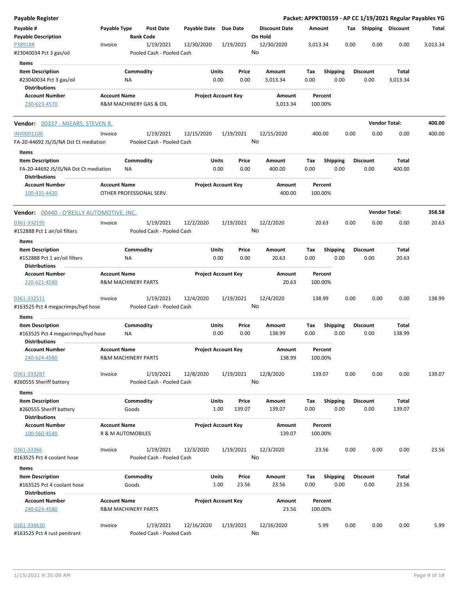| Payable Register                                                                                  |                     |                                |                                        |                       |                                  |         |                      |             |                    |      |      |                         |                       | Packet: APPKT00159 - AP CC 1/19/2021 Regular Payables YG |
|---------------------------------------------------------------------------------------------------|---------------------|--------------------------------|----------------------------------------|-----------------------|----------------------------------|---------|----------------------|-------------|--------------------|------|------|-------------------------|-----------------------|----------------------------------------------------------|
| Payable #<br><b>Payable Description</b>                                                           | Payable Type        | <b>Bank Code</b>               | Post Date                              | Payable Date Due Date |                                  | On Hold | <b>Discount Date</b> | Amount      |                    |      |      |                         | Tax Shipping Discount | Total                                                    |
| P38918R<br>#23040034 Pct 3 gas/oil                                                                | Invoice             |                                | 1/19/2021<br>Pooled Cash - Pooled Cash | 12/30/2020            | 1/19/2021                        | No      | 12/30/2020           | 3,013.34    |                    |      | 0.00 | 0.00                    | 0.00                  | 3,013.34                                                 |
| Items<br><b>Item Description</b><br>#23040034 Pct 3 gas/oil                                       |                     | Commodity<br>NA                |                                        |                       | Units<br>Price<br>0.00<br>0.00   |         | Amount<br>3,013.34   | Tax<br>0.00 | <b>Shipping</b>    | 0.00 |      | Discount<br>0.00        | Total<br>3,013.34     |                                                          |
| <b>Distributions</b><br><b>Account Number</b><br>230-623-4570                                     | <b>Account Name</b> |                                | R&M MACHINERY GAS & OIL                |                       | <b>Project Account Key</b>       |         | Amount<br>3,013.34   | 100.00%     | Percent            |      |      |                         |                       |                                                          |
| <b>Vendor:</b> 00337 - MIEARS, STEVEN R.                                                          |                     |                                |                                        |                       |                                  |         |                      |             |                    |      |      | <b>Vendor Total:</b>    |                       | 400.00                                                   |
| INV0001100<br>FA-20-44692 JS/JS/NA Dst Ct mediation                                               | Invoice             |                                | 1/19/2021<br>Pooled Cash - Pooled Cash | 12/15/2020            | 1/19/2021                        | No      | 12/15/2020           | 400.00      |                    |      | 0.00 | 0.00                    | 0.00                  | 400.00                                                   |
| Items<br><b>Item Description</b><br>FA-20-44692 JS/JS/NA Dst Ct mediation<br><b>Distributions</b> |                     | Commodity<br>NA                |                                        |                       | Units<br>Price<br>0.00<br>0.00   |         | Amount<br>400.00     | Tax<br>0.00 | <b>Shipping</b>    | 0.00 |      | Discount<br>0.00        | Total<br>400.00       |                                                          |
| <b>Account Number</b><br>100-435-4420                                                             | <b>Account Name</b> |                                | OTHER PROFESSIONAL SERV.               |                       | <b>Project Account Key</b>       |         | Amount<br>400.00     | 100.00%     | Percent            |      |      |                         |                       |                                                          |
| <b>Vendor: 00440 - O'REILLY AUTOMOTIVE, INC.</b>                                                  |                     |                                |                                        |                       |                                  |         |                      |             |                    |      |      | <b>Vendor Total:</b>    |                       | 358.58                                                   |
| 0361-332195<br>#152888 Pct 1 air/oil filters                                                      | Invoice             |                                | 1/19/2021<br>Pooled Cash - Pooled Cash | 12/2/2020             | 1/19/2021                        | No      | 12/2/2020            |             | 20.63              |      | 0.00 | 0.00                    | 0.00                  | 20.63                                                    |
| Items                                                                                             |                     |                                |                                        |                       |                                  |         |                      |             |                    |      |      |                         |                       |                                                          |
| <b>Item Description</b><br>#152888 Pct 1 air/oil filters<br><b>Distributions</b>                  |                     | Commodity<br>ΝA                |                                        |                       | Units<br>Price<br>0.00<br>0.00   |         | Amount<br>20.63      | Tax<br>0.00 | <b>Shipping</b>    | 0.00 |      | <b>Discount</b><br>0.00 | Total<br>20.63        |                                                          |
| <b>Account Number</b><br>210-621-4580                                                             | <b>Account Name</b> | <b>R&amp;M MACHINERY PARTS</b> |                                        |                       | <b>Project Account Key</b>       |         | Amount<br>20.63      | 100.00%     | Percent            |      |      |                         |                       |                                                          |
| 0361-332511<br>#163525 Pct 4 megacrimps/hyd hose                                                  | Invoice             |                                | 1/19/2021<br>Pooled Cash - Pooled Cash | 12/4/2020             | 1/19/2021                        | No      | 12/4/2020            | 138.99      |                    |      | 0.00 | 0.00                    | 0.00                  | 138.99                                                   |
| Items                                                                                             |                     |                                |                                        |                       |                                  |         |                      |             |                    |      |      |                         |                       |                                                          |
| <b>Item Description</b><br>#163525 Pct 4 megacrimps/hyd hose<br>Distributions                     |                     | Commodity<br>NA                |                                        |                       | Units<br>Price<br>0.00<br>0.00   |         | Amount<br>138.99     | Тах<br>0.00 | <b>Shipping</b>    | 0.00 |      | <b>Discount</b><br>0.00 | Total<br>138.99       |                                                          |
| <b>Account Number</b><br>240-624-4580                                                             | <b>Account Name</b> | <b>R&amp;M MACHINERY PARTS</b> |                                        |                       | <b>Project Account Key</b>       |         | Amount<br>138.99     | 100.00%     | Percent            |      |      |                         |                       |                                                          |
| 0361-333287<br>#260555 Sheriff battery                                                            | Invoice             |                                | 1/19/2021<br>Pooled Cash - Pooled Cash | 12/8/2020             | 1/19/2021                        | No      | 12/8/2020            | 139.07      |                    |      | 0.00 | 0.00                    | 0.00                  | 139.07                                                   |
| Items                                                                                             |                     |                                |                                        |                       |                                  |         |                      |             |                    |      |      |                         |                       |                                                          |
| <b>Item Description</b><br>#260555 Sheriff battery<br><b>Distributions</b>                        |                     | Commodity<br>Goods             |                                        |                       | Units<br>Price<br>139.07<br>1.00 |         | Amount<br>139.07     | Tax<br>0.00 | <b>Shipping</b>    | 0.00 |      | <b>Discount</b><br>0.00 | Total<br>139.07       |                                                          |
| <b>Account Number</b><br>100-560-4540                                                             | <b>Account Name</b> | R & M AUTOMOBILES              |                                        |                       | <b>Project Account Key</b>       |         | Amount<br>139.07     |             | Percent<br>100.00% |      |      |                         |                       |                                                          |
| 0361-33366<br>#163525 Pct 4 coolant hose                                                          | Invoice             |                                | 1/19/2021<br>Pooled Cash - Pooled Cash | 12/3/2020             | 1/19/2021                        | No      | 12/3/2020            |             | 23.56              |      | 0.00 | 0.00                    | 0.00                  | 23.56                                                    |
| Items                                                                                             |                     |                                |                                        |                       |                                  |         |                      |             |                    |      |      |                         |                       |                                                          |
| <b>Item Description</b><br>#163525 Pct 4 coolant hose                                             |                     | Commodity<br>Goods             |                                        |                       | Units<br>Price<br>1.00<br>23.56  |         | Amount<br>23.56      | Tax<br>0.00 | <b>Shipping</b>    | 0.00 |      | Discount<br>0.00        | Total<br>23.56        |                                                          |
| <b>Distributions</b><br><b>Account Number</b>                                                     | <b>Account Name</b> |                                |                                        |                       | <b>Project Account Key</b>       |         | Amount               |             | Percent            |      |      |                         |                       |                                                          |
| 240-624-4580                                                                                      |                     | <b>R&amp;M MACHINERY PARTS</b> |                                        |                       |                                  |         | 23.56                |             | 100.00%            |      |      |                         |                       |                                                          |
| 0361-334630<br>#163525 Pct 4 rust penitrant                                                       | Invoice             |                                | 1/19/2021<br>Pooled Cash - Pooled Cash | 12/16/2020            | 1/19/2021                        | No      | 12/16/2020           |             | 5.99               |      | 0.00 | 0.00                    | 0.00                  | 5.99                                                     |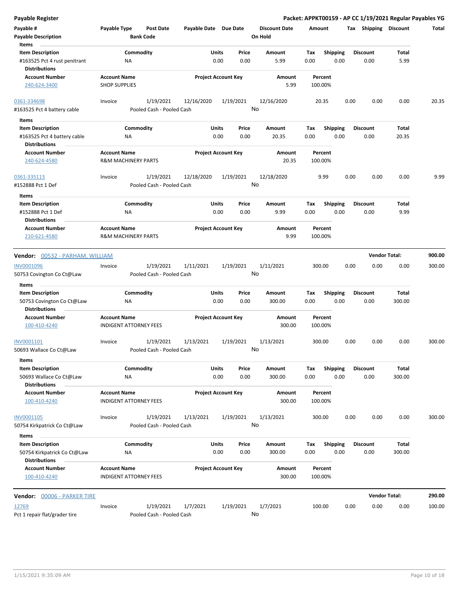| <b>Payable Register</b>                              |                                                       |                           |                       |                            |       |                      |        |                    |      |                       | Packet: APPKT00159 - AP CC 1/19/2021 Regular Payables YG |        |
|------------------------------------------------------|-------------------------------------------------------|---------------------------|-----------------------|----------------------------|-------|----------------------|--------|--------------------|------|-----------------------|----------------------------------------------------------|--------|
| Payable #                                            | Payable Type                                          | <b>Post Date</b>          | Payable Date Due Date |                            |       | <b>Discount Date</b> | Amount |                    |      | Tax Shipping Discount |                                                          | Total  |
| <b>Payable Description</b>                           |                                                       | <b>Bank Code</b>          |                       |                            |       | On Hold              |        |                    |      |                       |                                                          |        |
| Items                                                |                                                       |                           |                       |                            |       |                      |        |                    |      |                       |                                                          |        |
| <b>Item Description</b>                              |                                                       | Commodity                 | Units                 |                            | Price | Amount               | Tax    | <b>Shipping</b>    |      | <b>Discount</b>       | Total                                                    |        |
| #163525 Pct 4 rust penitrant<br><b>Distributions</b> | ΝA                                                    |                           |                       | 0.00                       | 0.00  | 5.99                 | 0.00   | 0.00               |      | 0.00                  | 5.99                                                     |        |
| <b>Account Number</b>                                | <b>Account Name</b>                                   |                           |                       | <b>Project Account Key</b> |       | Amount               |        | Percent            |      |                       |                                                          |        |
| 240-624-3400                                         | <b>SHOP SUPPLIES</b>                                  |                           |                       |                            |       | 5.99                 |        | 100.00%            |      |                       |                                                          |        |
| 0361-334698                                          | Invoice                                               | 1/19/2021                 | 12/16/2020            | 1/19/2021                  |       | 12/16/2020           |        | 20.35              | 0.00 | 0.00                  | 0.00                                                     | 20.35  |
| #163525 Pct 4 battery cable                          |                                                       | Pooled Cash - Pooled Cash |                       |                            | No    |                      |        |                    |      |                       |                                                          |        |
| Items                                                |                                                       |                           |                       |                            |       |                      |        |                    |      |                       |                                                          |        |
| <b>Item Description</b>                              |                                                       | Commodity                 | Units                 |                            | Price | Amount               | Tax    | <b>Shipping</b>    |      | <b>Discount</b>       | Total                                                    |        |
| #163525 Pct 4 battery cable                          | ΝA                                                    |                           |                       | 0.00                       | 0.00  | 20.35                | 0.00   | 0.00               |      | 0.00                  | 20.35                                                    |        |
| <b>Distributions</b>                                 |                                                       |                           |                       |                            |       |                      |        |                    |      |                       |                                                          |        |
| <b>Account Number</b>                                | <b>Account Name</b>                                   |                           |                       | <b>Project Account Key</b> |       | Amount               |        | Percent            |      |                       |                                                          |        |
| 240-624-4580                                         | <b>R&amp;M MACHINERY PARTS</b>                        |                           |                       |                            |       | 20.35                |        | 100.00%            |      |                       |                                                          |        |
| 0361-335113                                          | Invoice                                               | 1/19/2021                 | 12/18/2020            | 1/19/2021                  |       | 12/18/2020           |        | 9.99               | 0.00 | 0.00                  | 0.00                                                     | 9.99   |
| #152888 Pct 1 Def                                    |                                                       | Pooled Cash - Pooled Cash |                       |                            | No    |                      |        |                    |      |                       |                                                          |        |
| Items                                                |                                                       |                           |                       |                            |       |                      |        |                    |      |                       |                                                          |        |
| <b>Item Description</b>                              |                                                       | Commodity                 | Units                 |                            | Price | Amount               | Tax    | <b>Shipping</b>    |      | <b>Discount</b>       | Total                                                    |        |
| #152888 Pct 1 Def                                    | ΝA                                                    |                           |                       | 0.00                       | 0.00  | 9.99                 | 0.00   | 0.00               |      | 0.00                  | 9.99                                                     |        |
| <b>Distributions</b>                                 |                                                       |                           |                       |                            |       |                      |        |                    |      |                       |                                                          |        |
| <b>Account Number</b><br>210-621-4580                | <b>Account Name</b><br><b>R&amp;M MACHINERY PARTS</b> |                           |                       | <b>Project Account Key</b> |       | Amount<br>9.99       |        | Percent<br>100.00% |      |                       |                                                          |        |
| Vendor: 00532 - PARHAM, WILLIAM                      |                                                       |                           |                       |                            |       |                      |        |                    |      |                       | <b>Vendor Total:</b>                                     | 900.00 |
|                                                      |                                                       |                           |                       |                            |       |                      |        |                    |      |                       |                                                          |        |
| INV0001096                                           | Invoice                                               | 1/19/2021                 | 1/11/2021             | 1/19/2021                  |       | 1/11/2021            |        | 300.00             | 0.00 | 0.00                  | 0.00                                                     | 300.00 |
| 50753 Covington Co Ct@Law                            |                                                       | Pooled Cash - Pooled Cash |                       |                            | No    |                      |        |                    |      |                       |                                                          |        |
| Items                                                |                                                       |                           |                       |                            |       |                      |        |                    |      |                       |                                                          |        |
| <b>Item Description</b>                              |                                                       | Commodity                 | Units                 |                            | Price | Amount               | Tax    | <b>Shipping</b>    |      | <b>Discount</b>       | Total                                                    |        |
| 50753 Covington Co Ct@Law                            | NA                                                    |                           |                       | 0.00                       | 0.00  | 300.00               | 0.00   | 0.00               |      | 0.00                  | 300.00                                                   |        |
| <b>Distributions</b>                                 |                                                       |                           |                       |                            |       |                      |        |                    |      |                       |                                                          |        |
| <b>Account Number</b>                                | <b>Account Name</b>                                   |                           |                       | <b>Project Account Key</b> |       | Amount               |        | Percent            |      |                       |                                                          |        |
| 100-410-4240                                         | <b>INDIGENT ATTORNEY FEES</b>                         |                           |                       |                            |       | 300.00               |        | 100.00%            |      |                       |                                                          |        |
| INV0001101                                           | Invoice                                               | 1/19/2021                 | 1/13/2021             | 1/19/2021                  |       | 1/13/2021            |        | 300.00             | 0.00 | 0.00                  | 0.00                                                     | 300.00 |
| 50693 Wallace Co Ct@Law                              |                                                       | Pooled Cash - Pooled Cash |                       |                            |       | No                   |        |                    |      |                       |                                                          |        |
| Items                                                |                                                       |                           |                       |                            |       |                      |        |                    |      |                       |                                                          |        |
| <b>Item Description</b>                              |                                                       | Commodity                 | Units                 |                            | Price | Amount               | Tax    | <b>Shipping</b>    |      | <b>Discount</b>       | Total                                                    |        |
| 50693 Wallace Co Ct@Law                              | ΝA                                                    |                           |                       | 0.00                       | 0.00  | 300.00               | 0.00   | 0.00               |      | 0.00                  | 300.00                                                   |        |
| <b>Distributions</b>                                 |                                                       |                           |                       |                            |       |                      |        |                    |      |                       |                                                          |        |
| <b>Account Number</b>                                | <b>Account Name</b>                                   |                           |                       | <b>Project Account Key</b> |       | Amount               |        | Percent            |      |                       |                                                          |        |
| 100-410-4240                                         | <b>INDIGENT ATTORNEY FEES</b>                         |                           |                       |                            |       | 300.00               |        | 100.00%            |      |                       |                                                          |        |
| INV0001105                                           | Invoice                                               | 1/19/2021                 | 1/13/2021             | 1/19/2021                  |       | 1/13/2021            |        | 300.00             | 0.00 | 0.00                  | 0.00                                                     | 300.00 |
| 50754 Kirkpatrick Co Ct@Law                          |                                                       | Pooled Cash - Pooled Cash |                       |                            | No    |                      |        |                    |      |                       |                                                          |        |
| Items                                                |                                                       |                           |                       |                            |       |                      |        |                    |      |                       |                                                          |        |
| <b>Item Description</b>                              |                                                       | Commodity                 | Units                 |                            | Price | Amount               | Tax    | <b>Shipping</b>    |      | <b>Discount</b>       | Total                                                    |        |
| 50754 Kirkpatrick Co Ct@Law<br><b>Distributions</b>  | NA                                                    |                           |                       | 0.00                       | 0.00  | 300.00               | 0.00   | 0.00               |      | 0.00                  | 300.00                                                   |        |
| <b>Account Number</b>                                | <b>Account Name</b>                                   |                           |                       | <b>Project Account Key</b> |       | Amount               |        | Percent            |      |                       |                                                          |        |
| 100-410-4240                                         | <b>INDIGENT ATTORNEY FEES</b>                         |                           |                       |                            |       | 300.00               |        | 100.00%            |      |                       |                                                          |        |
| Vendor: 00006 - PARKER TIRE                          |                                                       |                           |                       |                            |       |                      |        |                    |      |                       | <b>Vendor Total:</b>                                     | 290.00 |
| 12769                                                | Invoice                                               | 1/19/2021                 | 1/7/2021              | 1/19/2021                  |       | 1/7/2021             | 100.00 |                    | 0.00 | 0.00                  | 0.00                                                     | 100.00 |
| Pct 1 repair flat/grader tire                        |                                                       | Pooled Cash - Pooled Cash |                       |                            | No    |                      |        |                    |      |                       |                                                          |        |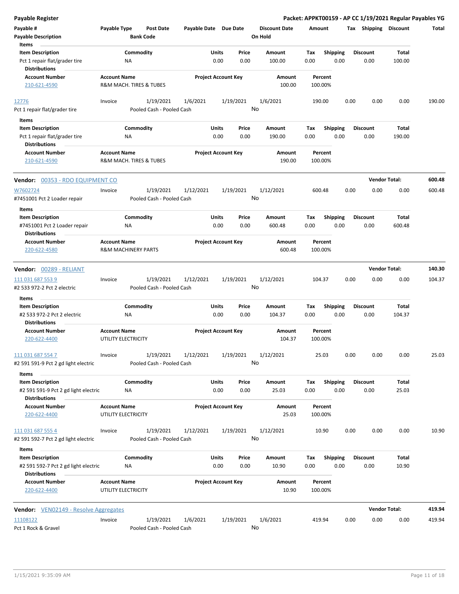| <b>Payable Register</b>                                                                 |                     |                                |           |                       |               |                            |                                 |             |                         |      |                         | Packet: APPKT00159 - AP CC 1/19/2021 Regular Payables YG |        |
|-----------------------------------------------------------------------------------------|---------------------|--------------------------------|-----------|-----------------------|---------------|----------------------------|---------------------------------|-------------|-------------------------|------|-------------------------|----------------------------------------------------------|--------|
| Payable #                                                                               | Payable Type        | Post Date<br><b>Bank Code</b>  |           | Payable Date Due Date |               |                            | <b>Discount Date</b><br>On Hold | Amount      |                         |      | Tax Shipping Discount   |                                                          | Total  |
| <b>Payable Description</b><br>Items                                                     |                     |                                |           |                       |               |                            |                                 |             |                         |      |                         |                                                          |        |
| <b>Item Description</b>                                                                 |                     | Commodity                      |           |                       | Units         | Price                      | Amount                          | Tax         | Shipping                |      | <b>Discount</b>         | Total                                                    |        |
| Pct 1 repair flat/grader tire<br><b>Distributions</b>                                   |                     | NA                             |           |                       | 0.00          | 0.00                       | 100.00                          | 0.00        | 0.00                    |      | 0.00                    | 100.00                                                   |        |
| <b>Account Number</b>                                                                   | <b>Account Name</b> |                                |           |                       |               | <b>Project Account Key</b> | Amount                          |             | Percent                 |      |                         |                                                          |        |
| 210-621-4590                                                                            |                     | R&M MACH. TIRES & TUBES        |           |                       |               |                            | 100.00                          |             | 100.00%                 |      |                         |                                                          |        |
| 12776                                                                                   | Invoice             |                                | 1/19/2021 | 1/6/2021              |               | 1/19/2021                  | 1/6/2021                        |             | 190.00                  | 0.00 | 0.00                    | 0.00                                                     | 190.00 |
| Pct 1 repair flat/grader tire                                                           |                     | Pooled Cash - Pooled Cash      |           |                       |               |                            | No                              |             |                         |      |                         |                                                          |        |
| Items                                                                                   |                     |                                |           |                       |               |                            |                                 |             |                         |      |                         |                                                          |        |
| <b>Item Description</b>                                                                 |                     | Commodity                      |           |                       | Units         | Price                      | Amount                          | Tax         | <b>Shipping</b>         |      | <b>Discount</b>         | Total                                                    |        |
| Pct 1 repair flat/grader tire                                                           |                     | ΝA                             |           |                       | 0.00          | 0.00                       | 190.00                          | 0.00        | 0.00                    |      | 0.00                    | 190.00                                                   |        |
| <b>Distributions</b>                                                                    |                     |                                |           |                       |               |                            |                                 |             |                         |      |                         |                                                          |        |
| <b>Account Number</b><br>210-621-4590                                                   | <b>Account Name</b> | R&M MACH. TIRES & TUBES        |           |                       |               | <b>Project Account Key</b> | Amount<br>190.00                |             | Percent<br>100.00%      |      |                         |                                                          |        |
| Vendor: 00353 - RDO EQUIPMENT CO                                                        |                     |                                |           |                       |               |                            |                                 |             |                         |      |                         | <b>Vendor Total:</b>                                     | 600.48 |
| W7602724                                                                                | Invoice             |                                | 1/19/2021 | 1/12/2021             |               | 1/19/2021                  | 1/12/2021                       |             | 600.48                  | 0.00 | 0.00                    | 0.00                                                     | 600.48 |
| #7451001 Pct 2 Loader repair                                                            |                     | Pooled Cash - Pooled Cash      |           |                       |               |                            | No                              |             |                         |      |                         |                                                          |        |
| Items                                                                                   |                     |                                |           |                       |               |                            |                                 |             |                         |      |                         |                                                          |        |
| <b>Item Description</b>                                                                 |                     | Commodity                      |           |                       | Units         | Price                      | Amount                          | Tax         | <b>Shipping</b>         |      | <b>Discount</b>         | Total                                                    |        |
| #7451001 Pct 2 Loader repair<br><b>Distributions</b>                                    |                     | ΝA                             |           |                       | 0.00          | 0.00                       | 600.48                          | 0.00        | 0.00                    |      | 0.00                    | 600.48                                                   |        |
| <b>Account Number</b><br>220-622-4580                                                   | <b>Account Name</b> | <b>R&amp;M MACHINERY PARTS</b> |           |                       |               | <b>Project Account Key</b> | Amount<br>600.48                |             | Percent<br>100.00%      |      |                         |                                                          |        |
| Vendor: 00289 - RELIANT                                                                 |                     |                                |           |                       |               |                            |                                 |             |                         |      |                         | <b>Vendor Total:</b>                                     | 140.30 |
| 111 031 687 553 9                                                                       | Invoice             |                                | 1/19/2021 | 1/12/2021             |               | 1/19/2021                  | 1/12/2021                       |             | 104.37                  | 0.00 | 0.00                    | 0.00                                                     | 104.37 |
| #2 533 972-2 Pct 2 electric                                                             |                     | Pooled Cash - Pooled Cash      |           |                       |               |                            | No                              |             |                         |      |                         |                                                          |        |
| Items                                                                                   |                     |                                |           |                       |               |                            |                                 |             |                         |      |                         |                                                          |        |
| <b>Item Description</b><br>#2 533 972-2 Pct 2 electric                                  |                     | Commodity<br>NA                |           |                       | Units<br>0.00 | Price<br>0.00              | Amount<br>104.37                | Tax<br>0.00 | <b>Shipping</b><br>0.00 |      | <b>Discount</b><br>0.00 | Total<br>104.37                                          |        |
| <b>Distributions</b><br><b>Account Number</b>                                           | <b>Account Name</b> |                                |           |                       |               | <b>Project Account Key</b> | Amount                          |             | Percent                 |      |                         |                                                          |        |
| 220-622-4400                                                                            | UTILITY ELECTRICITY |                                |           |                       |               |                            | 104.37                          |             | 100.00%                 |      |                         |                                                          |        |
| 111 031 687 554 7<br>#2 591 591-9 Pct 2 gd light electric                               | Invoice             | Pooled Cash - Pooled Cash      | 1/19/2021 | 1/12/2021             |               | 1/19/2021                  | 1/12/2021<br>No                 |             | 25.03                   | 0.00 | 0.00                    | 0.00                                                     | 25.03  |
| Items                                                                                   |                     |                                |           |                       |               |                            |                                 |             |                         |      |                         |                                                          |        |
| <b>Item Description</b><br>#2 591 591-9 Pct 2 gd light electric                         |                     | Commodity<br>ΝA                |           |                       | Units<br>0.00 | Price<br>0.00              | Amount<br>25.03                 | Tax<br>0.00 | <b>Shipping</b><br>0.00 |      | <b>Discount</b><br>0.00 | Total<br>25.03                                           |        |
| <b>Distributions</b><br><b>Account Number</b>                                           | <b>Account Name</b> |                                |           |                       |               | <b>Project Account Key</b> | Amount                          |             | Percent                 |      |                         |                                                          |        |
| 220-622-4400                                                                            | UTILITY ELECTRICITY |                                |           |                       |               |                            | 25.03                           |             | 100.00%                 |      |                         |                                                          |        |
| 111 031 687 555 4<br>#2 591 592-7 Pct 2 gd light electric                               | Invoice             | Pooled Cash - Pooled Cash      | 1/19/2021 | 1/12/2021             |               | 1/19/2021                  | 1/12/2021<br>No                 |             | 10.90                   | 0.00 | 0.00                    | 0.00                                                     | 10.90  |
|                                                                                         |                     |                                |           |                       |               |                            |                                 |             |                         |      |                         |                                                          |        |
| Items                                                                                   |                     |                                |           |                       |               |                            |                                 |             |                         |      |                         |                                                          |        |
| <b>Item Description</b><br>#2 591 592-7 Pct 2 gd light electric<br><b>Distributions</b> |                     | Commodity<br>NA                |           |                       | Units<br>0.00 | Price<br>0.00              | Amount<br>10.90                 | Tax<br>0.00 | <b>Shipping</b><br>0.00 |      | <b>Discount</b><br>0.00 | Total<br>10.90                                           |        |
| <b>Account Number</b>                                                                   | <b>Account Name</b> |                                |           |                       |               | <b>Project Account Key</b> | Amount                          |             | Percent                 |      |                         |                                                          |        |
| 220-622-4400                                                                            | UTILITY ELECTRICITY |                                |           |                       |               |                            | 10.90                           |             | 100.00%                 |      |                         |                                                          |        |
| <b>Vendor:</b> VEN02149 - Resolve Aggregates                                            |                     |                                |           |                       |               |                            |                                 |             |                         |      |                         | <b>Vendor Total:</b>                                     | 419.94 |
| 11108122                                                                                | Invoice             |                                | 1/19/2021 | 1/6/2021              |               | 1/19/2021                  | 1/6/2021                        |             | 419.94                  | 0.00 | 0.00                    | 0.00                                                     | 419.94 |
| Pct 1 Rock & Gravel                                                                     |                     | Pooled Cash - Pooled Cash      |           |                       |               |                            | No                              |             |                         |      |                         |                                                          |        |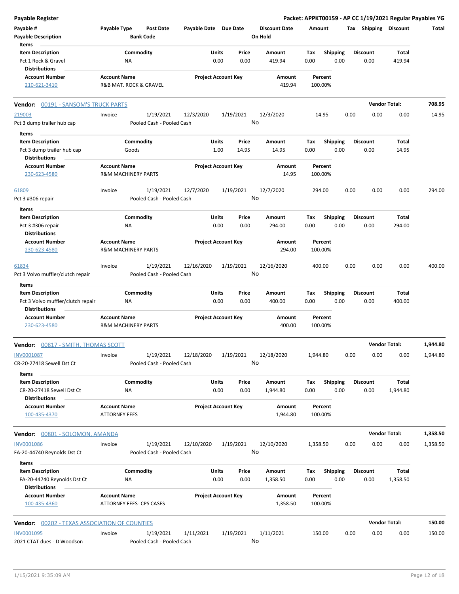| <b>Payable Register</b>                                      |                                                       |                           |                       |                            |                      |             |                         |      |                         | Packet: APPKT00159 - AP CC 1/19/2021 Regular Payables YG |          |
|--------------------------------------------------------------|-------------------------------------------------------|---------------------------|-----------------------|----------------------------|----------------------|-------------|-------------------------|------|-------------------------|----------------------------------------------------------|----------|
| Payable #                                                    | Payable Type                                          | <b>Post Date</b>          | Payable Date Due Date |                            | <b>Discount Date</b> | Amount      |                         |      | Tax Shipping Discount   |                                                          | Total    |
| <b>Payable Description</b>                                   |                                                       | <b>Bank Code</b>          |                       |                            | On Hold              |             |                         |      |                         |                                                          |          |
| Items                                                        |                                                       |                           |                       |                            |                      |             |                         |      |                         |                                                          |          |
| <b>Item Description</b>                                      |                                                       | Commodity                 | Units                 | Price                      | Amount               | Tax         | <b>Shipping</b>         |      | <b>Discount</b>         | Total                                                    |          |
| Pct 1 Rock & Gravel                                          | NA                                                    |                           |                       | 0.00<br>0.00               | 419.94               | 0.00        | 0.00                    |      | 0.00                    | 419.94                                                   |          |
| <b>Distributions</b>                                         |                                                       |                           |                       |                            |                      |             |                         |      |                         |                                                          |          |
| <b>Account Number</b>                                        | <b>Account Name</b>                                   |                           |                       | <b>Project Account Key</b> | Amount               |             | Percent                 |      |                         |                                                          |          |
| 210-621-3410                                                 | R&B MAT. ROCK & GRAVEL                                |                           |                       |                            | 419.94               |             | 100.00%                 |      |                         |                                                          |          |
| Vendor: 00191 - SANSOM'S TRUCK PARTS                         |                                                       |                           |                       |                            |                      |             |                         |      |                         | <b>Vendor Total:</b>                                     | 708.95   |
| 219003                                                       | Invoice                                               | 1/19/2021                 | 12/3/2020             | 1/19/2021                  | 12/3/2020            |             | 14.95                   | 0.00 | 0.00                    | 0.00                                                     | 14.95    |
| Pct 3 dump trailer hub cap                                   |                                                       | Pooled Cash - Pooled Cash |                       |                            | No                   |             |                         |      |                         |                                                          |          |
| Items<br><b>Item Description</b>                             |                                                       | Commodity                 | Units                 | Price                      | Amount               | Tax         | <b>Shipping</b>         |      | <b>Discount</b>         | Total                                                    |          |
|                                                              | Goods                                                 |                           |                       | 1.00<br>14.95              | 14.95                | 0.00        | 0.00                    |      | 0.00                    | 14.95                                                    |          |
| Pct 3 dump trailer hub cap<br><b>Distributions</b>           |                                                       |                           |                       |                            |                      |             |                         |      |                         |                                                          |          |
| <b>Account Number</b>                                        | <b>Account Name</b>                                   |                           |                       | <b>Project Account Key</b> | Amount               |             | Percent                 |      |                         |                                                          |          |
| 230-623-4580                                                 | <b>R&amp;M MACHINERY PARTS</b>                        |                           |                       |                            | 14.95                |             | 100.00%                 |      |                         |                                                          |          |
| 61809                                                        | Invoice                                               | 1/19/2021                 | 12/7/2020             | 1/19/2021                  | 12/7/2020            |             | 294.00                  | 0.00 | 0.00                    | 0.00                                                     | 294.00   |
| Pct 3 #306 repair                                            |                                                       | Pooled Cash - Pooled Cash |                       |                            | No                   |             |                         |      |                         |                                                          |          |
| Items                                                        |                                                       |                           |                       |                            |                      |             |                         |      |                         |                                                          |          |
| <b>Item Description</b>                                      |                                                       | Commodity                 | Units                 | Price                      | Amount               | Tax         | <b>Shipping</b>         |      | <b>Discount</b>         | Total                                                    |          |
| Pct 3 #306 repair                                            | ΝA                                                    |                           |                       | 0.00<br>0.00               | 294.00               | 0.00        | 0.00                    |      | 0.00                    | 294.00                                                   |          |
| <b>Distributions</b>                                         |                                                       |                           |                       |                            |                      |             |                         |      |                         |                                                          |          |
| <b>Account Number</b>                                        | <b>Account Name</b>                                   |                           |                       | <b>Project Account Key</b> | Amount               |             | Percent                 |      |                         |                                                          |          |
| 230-623-4580                                                 | <b>R&amp;M MACHINERY PARTS</b>                        |                           |                       |                            | 294.00               |             | 100.00%                 |      |                         |                                                          |          |
| 61834                                                        | Invoice                                               | 1/19/2021                 | 12/16/2020            | 1/19/2021                  | 12/16/2020           |             | 400.00                  | 0.00 | 0.00                    | 0.00                                                     | 400.00   |
| Pct 3 Volvo muffler/clutch repair                            |                                                       | Pooled Cash - Pooled Cash |                       |                            | No                   |             |                         |      |                         |                                                          |          |
| Items                                                        |                                                       |                           |                       |                            |                      |             |                         |      |                         |                                                          |          |
| <b>Item Description</b><br>Pct 3 Volvo muffler/clutch repair | ΝA                                                    | Commodity                 | Units                 | Price<br>0.00<br>0.00      | Amount<br>400.00     | Tax<br>0.00 | <b>Shipping</b><br>0.00 |      | <b>Discount</b><br>0.00 | <b>Total</b><br>400.00                                   |          |
| <b>Distributions</b>                                         |                                                       |                           |                       |                            |                      |             |                         |      |                         |                                                          |          |
| <b>Account Number</b><br>230-623-4580                        | <b>Account Name</b><br><b>R&amp;M MACHINERY PARTS</b> |                           |                       | <b>Project Account Key</b> | Amount<br>400.00     |             | Percent<br>100.00%      |      |                         |                                                          |          |
| <b>Vendor:</b> 00817 - SMITH, THOMAS SCOTT                   |                                                       |                           |                       |                            |                      |             |                         |      |                         | <b>Vendor Total:</b>                                     | 1,944.80 |
| INV0001087                                                   | Invoice                                               | 1/19/2021                 | 12/18/2020            | 1/19/2021                  | 12/18/2020           | 1,944.80    |                         | 0.00 | 0.00                    | 0.00                                                     | 1,944.80 |
| CR-20-27418 Sewell Dst Ct                                    |                                                       | Pooled Cash - Pooled Cash |                       |                            | No                   |             |                         |      |                         |                                                          |          |
| Items                                                        |                                                       |                           |                       |                            |                      |             |                         |      |                         |                                                          |          |
| <b>Item Description</b>                                      |                                                       | Commodity                 | Units                 | Price                      | Amount               | Tax         | <b>Shipping</b>         |      | <b>Discount</b>         | Total                                                    |          |
| CR-20-27418 Sewell Dst Ct                                    | NA                                                    |                           |                       | 0.00<br>0.00               | 1,944.80             | 0.00        | 0.00                    |      | 0.00                    | 1,944.80                                                 |          |
| <b>Distributions</b>                                         |                                                       |                           |                       |                            |                      |             |                         |      |                         |                                                          |          |
| <b>Account Number</b>                                        | <b>Account Name</b><br><b>ATTORNEY FEES</b>           |                           |                       | <b>Project Account Key</b> | Amount<br>1,944.80   |             | Percent<br>100.00%      |      |                         |                                                          |          |
| 100-435-4370                                                 |                                                       |                           |                       |                            |                      |             |                         |      |                         |                                                          |          |
| Vendor: 00801 - SOLOMON, AMANDA                              |                                                       |                           |                       |                            |                      |             |                         |      |                         | <b>Vendor Total:</b>                                     | 1,358.50 |
| <b>INV0001086</b>                                            | Invoice                                               | 1/19/2021                 | 12/10/2020            | 1/19/2021                  | 12/10/2020           | 1,358.50    |                         | 0.00 | 0.00                    | 0.00                                                     | 1,358.50 |
| FA-20-44740 Reynolds Dst Ct                                  |                                                       | Pooled Cash - Pooled Cash |                       |                            | No                   |             |                         |      |                         |                                                          |          |
| Items<br><b>Item Description</b>                             |                                                       | Commodity                 | Units                 | Price                      | Amount               | Tax         | <b>Shipping</b>         |      | <b>Discount</b>         | Total                                                    |          |
| FA-20-44740 Reynolds Dst Ct                                  | NA                                                    |                           |                       | 0.00<br>0.00               | 1,358.50             | 0.00        | 0.00                    |      | 0.00                    | 1,358.50                                                 |          |
| <b>Distributions</b><br><b>Account Number</b>                | <b>Account Name</b>                                   |                           |                       | <b>Project Account Key</b> | Amount               |             | Percent                 |      |                         |                                                          |          |
| 100-435-4360                                                 | ATTORNEY FEES- CPS CASES                              |                           |                       |                            | 1,358.50             |             | 100.00%                 |      |                         |                                                          |          |
| <b>Vendor: 00202 - TEXAS ASSOCIATION OF COUNTIES</b>         |                                                       |                           |                       |                            |                      |             |                         |      |                         | <b>Vendor Total:</b>                                     | 150.00   |
| <b>INV0001095</b>                                            | Invoice                                               | 1/19/2021                 | 1/11/2021             | 1/19/2021                  | 1/11/2021            |             | 150.00                  | 0.00 | 0.00                    | 0.00                                                     | 150.00   |
| 2021 CTAT dues - D Woodson                                   |                                                       | Pooled Cash - Pooled Cash |                       |                            | No                   |             |                         |      |                         |                                                          |          |
|                                                              |                                                       |                           |                       |                            |                      |             |                         |      |                         |                                                          |          |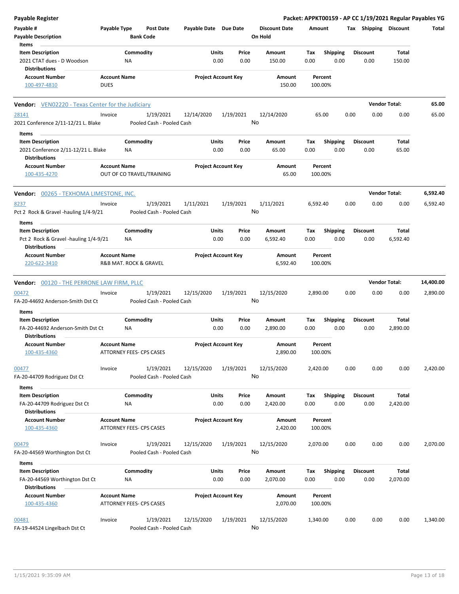| <b>Payable Register</b>                                                                       |                                    |                                        |                       |                            |               |                                 |             |                         |      |                         |                      | Packet: APPKT00159 - AP CC 1/19/2021 Regular Payables YG |
|-----------------------------------------------------------------------------------------------|------------------------------------|----------------------------------------|-----------------------|----------------------------|---------------|---------------------------------|-------------|-------------------------|------|-------------------------|----------------------|----------------------------------------------------------|
| Payable #<br><b>Payable Description</b>                                                       | Payable Type                       | <b>Post Date</b><br><b>Bank Code</b>   | Payable Date Due Date |                            |               | <b>Discount Date</b><br>On Hold | Amount      |                         |      | Tax Shipping Discount   |                      | Total                                                    |
| Items                                                                                         |                                    |                                        |                       |                            |               |                                 |             |                         |      |                         |                      |                                                          |
| <b>Item Description</b><br>2021 CTAT dues - D Woodson                                         |                                    | Commodity<br>NA                        |                       | Units<br>0.00              | Price<br>0.00 | Amount<br>150.00                | Tax<br>0.00 | <b>Shipping</b><br>0.00 |      | <b>Discount</b><br>0.00 | Total<br>150.00      |                                                          |
| <b>Distributions</b>                                                                          |                                    |                                        |                       |                            |               |                                 |             |                         |      |                         |                      |                                                          |
| <b>Account Number</b><br>100-497-4810                                                         | <b>Account Name</b><br><b>DUES</b> |                                        |                       | <b>Project Account Key</b> |               | Amount<br>150.00                |             | Percent<br>100.00%      |      |                         |                      |                                                          |
| <b>Vendor:</b> VEN02220 - Texas Center for the Judiciary                                      |                                    |                                        |                       |                            |               |                                 |             |                         |      |                         | <b>Vendor Total:</b> | 65.00                                                    |
| 28141<br>2021 Conference 2/11-12/21 L. Blake                                                  | Invoice                            | 1/19/2021<br>Pooled Cash - Pooled Cash | 12/14/2020            | 1/19/2021                  |               | 12/14/2020<br>No                |             | 65.00                   | 0.00 | 0.00                    | 0.00                 | 65.00                                                    |
| Items                                                                                         |                                    |                                        |                       |                            |               |                                 |             |                         |      |                         |                      |                                                          |
| <b>Item Description</b><br>2021 Conference 2/11-12/21 L. Blake<br><b>Distributions</b>        |                                    | Commodity<br>NA                        |                       | Units<br>0.00              | Price<br>0.00 | Amount<br>65.00                 | Тах<br>0.00 | <b>Shipping</b><br>0.00 |      | <b>Discount</b><br>0.00 | Total<br>65.00       |                                                          |
| <b>Account Number</b><br>100-435-4270                                                         | <b>Account Name</b>                | OUT OF CO TRAVEL/TRAINING              |                       | <b>Project Account Key</b> |               | Amount<br>65.00                 |             | Percent<br>100.00%      |      |                         |                      |                                                          |
| Vendor: 00265 - TEXHOMA LIMESTONE, INC.                                                       |                                    |                                        |                       |                            |               |                                 |             |                         |      |                         | <b>Vendor Total:</b> | 6,592.40                                                 |
| 8237<br>Pct 2 Rock & Gravel -hauling 1/4-9/21                                                 | Invoice                            | 1/19/2021<br>Pooled Cash - Pooled Cash | 1/11/2021             | 1/19/2021                  |               | 1/11/2021<br>No                 | 6,592.40    |                         | 0.00 | 0.00                    | 0.00                 | 6,592.40                                                 |
| Items                                                                                         |                                    |                                        |                       |                            |               |                                 |             |                         |      |                         |                      |                                                          |
| <b>Item Description</b><br>Pct 2 Rock & Gravel -hauling 1/4-9/21                              |                                    | Commodity<br>ΝA                        |                       | Units<br>0.00              | Price<br>0.00 | Amount<br>6,592.40              | Тах<br>0.00 | <b>Shipping</b><br>0.00 |      | <b>Discount</b><br>0.00 | Total<br>6,592.40    |                                                          |
| <b>Distributions</b><br><b>Account Number</b><br>220-622-3410                                 | <b>Account Name</b>                | R&B MAT. ROCK & GRAVEL                 |                       | <b>Project Account Key</b> |               | Amount<br>6,592.40              | 100.00%     | Percent                 |      |                         |                      |                                                          |
|                                                                                               |                                    |                                        |                       |                            |               |                                 |             |                         |      |                         | <b>Vendor Total:</b> | 14,400.00                                                |
| Vendor: 00120 - THE PERRONE LAW FIRM, PLLC                                                    | Invoice                            | 1/19/2021                              | 12/15/2020            | 1/19/2021                  |               | 12/15/2020                      |             |                         |      |                         | 0.00                 | 2,890.00                                                 |
| 00472<br>FA-20-44692 Anderson-Smith Dst Ct                                                    |                                    | Pooled Cash - Pooled Cash              |                       |                            |               | No                              | 2,890.00    |                         | 0.00 | 0.00                    |                      |                                                          |
| Items<br><b>Item Description</b><br>FA-20-44692 Anderson-Smith Dst Ct<br><b>Distributions</b> |                                    | Commodity<br>ΝA                        |                       | Units<br>0.00              | Price<br>0.00 | Amount<br>2,890.00              | Тах<br>0.00 | Shipping<br>0.00        |      | <b>Discount</b><br>0.00 | Total<br>2,890.00    |                                                          |
| <b>Account Number</b><br>100-435-4360                                                         | <b>Account Name</b>                | ATTORNEY FEES- CPS CASES               |                       | <b>Project Account Key</b> |               | Amount<br>2,890.00              | 100.00%     | Percent                 |      |                         |                      |                                                          |
| 00477<br>FA-20-44709 Rodriguez Dst Ct                                                         | Invoice                            | 1/19/2021<br>Pooled Cash - Pooled Cash | 12/15/2020            | 1/19/2021                  |               | 12/15/2020<br>No                | 2,420.00    |                         | 0.00 | 0.00                    | 0.00                 | 2,420.00                                                 |
| Items                                                                                         |                                    |                                        |                       |                            |               |                                 |             |                         |      |                         |                      |                                                          |
| <b>Item Description</b><br>FA-20-44709 Rodriguez Dst Ct                                       |                                    | Commodity<br>ΝA                        |                       | Units<br>0.00              | Price<br>0.00 | Amount<br>2,420.00              | Tax<br>0.00 | <b>Shipping</b><br>0.00 |      | <b>Discount</b><br>0.00 | Total<br>2,420.00    |                                                          |
| <b>Distributions</b><br><b>Account Number</b><br>100-435-4360                                 | <b>Account Name</b>                | <b>ATTORNEY FEES- CPS CASES</b>        |                       | <b>Project Account Key</b> |               | Amount<br>2,420.00              |             | Percent<br>100.00%      |      |                         |                      |                                                          |
| 00479<br>FA-20-44569 Worthington Dst Ct                                                       | Invoice                            | 1/19/2021<br>Pooled Cash - Pooled Cash | 12/15/2020            | 1/19/2021                  |               | 12/15/2020<br>No                | 2,070.00    |                         | 0.00 | 0.00                    | 0.00                 | 2,070.00                                                 |
| Items                                                                                         |                                    |                                        |                       |                            |               |                                 |             |                         |      |                         |                      |                                                          |
| <b>Item Description</b><br>FA-20-44569 Worthington Dst Ct<br><b>Distributions</b>             |                                    | Commodity<br>NA                        |                       | <b>Units</b><br>0.00       | Price<br>0.00 | Amount<br>2,070.00              | Tax<br>0.00 | <b>Shipping</b><br>0.00 |      | <b>Discount</b><br>0.00 | Total<br>2,070.00    |                                                          |
| <b>Account Number</b><br>100-435-4360                                                         | <b>Account Name</b>                | ATTORNEY FEES- CPS CASES               |                       | <b>Project Account Key</b> |               | Amount<br>2,070.00              |             | Percent<br>100.00%      |      |                         |                      |                                                          |
| 00481<br>FA-19-44524 Lingelbach Dst Ct                                                        | Invoice                            | 1/19/2021<br>Pooled Cash - Pooled Cash | 12/15/2020            | 1/19/2021                  |               | 12/15/2020<br>No                | 1,340.00    |                         | 0.00 | 0.00                    | 0.00                 | 1,340.00                                                 |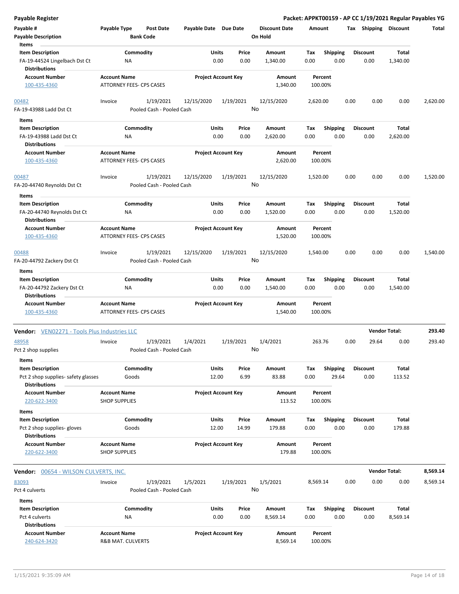| <b>Payable Register</b>                                                          |                                                        |                        |                                        |                       |               |                            |                                 |             |                         |      |                         |                      | Packet: APPKT00159 - AP CC 1/19/2021 Regular Payables YG |
|----------------------------------------------------------------------------------|--------------------------------------------------------|------------------------|----------------------------------------|-----------------------|---------------|----------------------------|---------------------------------|-------------|-------------------------|------|-------------------------|----------------------|----------------------------------------------------------|
| Payable #<br><b>Payable Description</b>                                          | Payable Type                                           | <b>Bank Code</b>       | Post Date                              | Payable Date Due Date |               |                            | <b>Discount Date</b><br>On Hold | Amount      |                         |      | Tax Shipping Discount   |                      | Total                                                    |
| Items                                                                            |                                                        |                        |                                        |                       |               |                            |                                 |             |                         |      |                         |                      |                                                          |
| <b>Item Description</b><br>FA-19-44524 Lingelbach Dst Ct<br><b>Distributions</b> |                                                        | Commodity<br><b>NA</b> |                                        |                       | Units<br>0.00 | Price<br>0.00              | Amount<br>1,340.00              | Tax<br>0.00 | <b>Shipping</b><br>0.00 |      | <b>Discount</b><br>0.00 | Total<br>1,340.00    |                                                          |
| <b>Account Number</b><br>100-435-4360                                            | <b>Account Name</b><br>ATTORNEY FEES- CPS CASES        |                        |                                        |                       |               | <b>Project Account Key</b> | Amount<br>1,340.00              |             | Percent<br>100.00%      |      |                         |                      |                                                          |
| 00482<br>FA-19-43988 Ladd Dst Ct                                                 | Invoice                                                |                        | 1/19/2021<br>Pooled Cash - Pooled Cash | 12/15/2020            |               | 1/19/2021<br>No            | 12/15/2020                      | 2,620.00    |                         | 0.00 | 0.00                    | 0.00                 | 2,620.00                                                 |
| Items                                                                            |                                                        |                        |                                        |                       |               |                            |                                 |             |                         |      |                         |                      |                                                          |
| <b>Item Description</b><br>FA-19-43988 Ladd Dst Ct<br><b>Distributions</b>       |                                                        | Commodity<br>NA        |                                        |                       | Units<br>0.00 | Price<br>0.00              | Amount<br>2,620.00              | Tax<br>0.00 | <b>Shipping</b><br>0.00 |      | <b>Discount</b><br>0.00 | Total<br>2,620.00    |                                                          |
| <b>Account Number</b><br>100-435-4360                                            | <b>Account Name</b><br>ATTORNEY FEES- CPS CASES        |                        |                                        |                       |               | <b>Project Account Key</b> | Amount<br>2,620.00              |             | Percent<br>100.00%      |      |                         |                      |                                                          |
|                                                                                  |                                                        |                        |                                        |                       |               |                            |                                 |             |                         |      |                         |                      |                                                          |
| 00487<br>FA-20-44740 Reynolds Dst Ct                                             | Invoice                                                |                        | 1/19/2021<br>Pooled Cash - Pooled Cash | 12/15/2020            |               | 1/19/2021<br>No            | 12/15/2020                      | 1,520.00    |                         | 0.00 | 0.00                    | 0.00                 | 1,520.00                                                 |
| Items                                                                            |                                                        |                        |                                        |                       |               |                            |                                 |             |                         |      |                         |                      |                                                          |
| <b>Item Description</b><br>FA-20-44740 Reynolds Dst Ct<br><b>Distributions</b>   |                                                        | Commodity<br>ΝA        |                                        |                       | Units<br>0.00 | Price<br>0.00              | Amount<br>1,520.00              | Tax<br>0.00 | <b>Shipping</b><br>0.00 |      | <b>Discount</b><br>0.00 | Total<br>1,520.00    |                                                          |
| <b>Account Number</b><br>100-435-4360                                            | <b>Account Name</b><br>ATTORNEY FEES- CPS CASES        |                        |                                        |                       |               | <b>Project Account Key</b> | Amount<br>1,520.00              |             | Percent<br>100.00%      |      |                         |                      |                                                          |
| 00488                                                                            | Invoice                                                |                        | 1/19/2021                              | 12/15/2020            |               | 1/19/2021                  | 12/15/2020                      | 1,540.00    |                         | 0.00 | 0.00                    | 0.00                 | 1,540.00                                                 |
| FA-20-44792 Zackery Dst Ct                                                       |                                                        |                        | Pooled Cash - Pooled Cash              |                       |               | No                         |                                 |             |                         |      |                         |                      |                                                          |
| Items                                                                            |                                                        |                        |                                        |                       |               |                            |                                 |             |                         |      |                         |                      |                                                          |
| <b>Item Description</b>                                                          |                                                        | Commodity              |                                        |                       | Units         | Price                      | Amount                          | Tax         | <b>Shipping</b>         |      | <b>Discount</b>         | Total                |                                                          |
| FA-20-44792 Zackery Dst Ct<br><b>Distributions</b>                               |                                                        | NA                     |                                        |                       | 0.00          | 0.00                       | 1,540.00                        | 0.00        | 0.00                    |      | 0.00                    | 1,540.00             |                                                          |
| <b>Account Number</b><br>100-435-4360                                            | <b>Account Name</b><br><b>ATTORNEY FEES- CPS CASES</b> |                        |                                        |                       |               | <b>Project Account Key</b> | Amount<br>1,540.00              |             | Percent<br>100.00%      |      |                         |                      |                                                          |
| <b>Vendor:</b> VEN02271 - Tools Plus Industries LLC                              |                                                        |                        |                                        |                       |               |                            |                                 |             |                         |      |                         | <b>Vendor Total:</b> | 293.40                                                   |
| 48958<br>Pct 2 shop supplies<br>Items                                            | Invoice                                                |                        | 1/19/2021<br>Pooled Cash - Pooled Cash | 1/4/2021              |               | 1/19/2021<br>No.           | 1/4/2021                        |             | 263.76                  | 0.00 | 29.64                   | 0.00                 | 293.40                                                   |
| <b>Item Description</b>                                                          |                                                        | Commodity              |                                        |                       | <b>Units</b>  | Price                      | Amount                          | Tax         | Shipping                |      | <b>Discount</b>         | Total                |                                                          |
| Pct 2 shop supplies- safety glasses<br><b>Distributions</b>                      |                                                        | Goods                  |                                        |                       | 12.00         | 6.99                       | 83.88                           | 0.00        | 29.64                   |      | 0.00                    | 113.52               |                                                          |
| <b>Account Number</b><br>220-622-3400                                            | <b>Account Name</b><br><b>SHOP SUPPLIES</b>            |                        |                                        |                       |               | <b>Project Account Key</b> | Amount<br>113.52                |             | Percent<br>100.00%      |      |                         |                      |                                                          |
| Items<br><b>Item Description</b>                                                 |                                                        | Commodity              |                                        |                       | <b>Units</b>  | Price                      | Amount                          | Tax         | <b>Shipping</b>         |      | <b>Discount</b>         | Total                |                                                          |
| Pct 2 shop supplies- gloves<br><b>Distributions</b>                              |                                                        | Goods                  |                                        |                       | 12.00         | 14.99                      | 179.88                          | 0.00        | 0.00                    |      | 0.00                    | 179.88               |                                                          |
| <b>Account Number</b><br>220-622-3400                                            | <b>Account Name</b><br><b>SHOP SUPPLIES</b>            |                        |                                        |                       |               | <b>Project Account Key</b> | Amount<br>179.88                |             | Percent<br>100.00%      |      |                         |                      |                                                          |
| <b>Vendor: 00654 - WILSON CULVERTS, INC.</b>                                     |                                                        |                        |                                        |                       |               |                            |                                 |             |                         |      |                         | <b>Vendor Total:</b> | 8,569.14                                                 |
| 83093                                                                            | Invoice                                                |                        | 1/19/2021                              | 1/5/2021              |               | 1/19/2021                  | 1/5/2021                        | 8,569.14    |                         | 0.00 | 0.00                    | 0.00                 | 8,569.14                                                 |
| Pct 4 culverts                                                                   |                                                        |                        | Pooled Cash - Pooled Cash              |                       |               | No                         |                                 |             |                         |      |                         |                      |                                                          |
| Items<br><b>Item Description</b>                                                 |                                                        | Commodity              |                                        |                       | Units         | Price                      | Amount                          | Tax         | <b>Shipping</b>         |      | <b>Discount</b>         | Total                |                                                          |
| Pct 4 culverts<br><b>Distributions</b>                                           |                                                        | ΝA                     |                                        |                       | 0.00          | 0.00                       | 8,569.14                        | 0.00        | 0.00                    |      | 0.00                    | 8,569.14             |                                                          |
| <b>Account Number</b>                                                            | <b>Account Name</b>                                    |                        |                                        |                       |               | <b>Project Account Key</b> | Amount                          |             | Percent                 |      |                         |                      |                                                          |
| 240-624-3420                                                                     | R&B MAT. CULVERTS                                      |                        |                                        |                       |               |                            | 8,569.14                        |             | 100.00%                 |      |                         |                      |                                                          |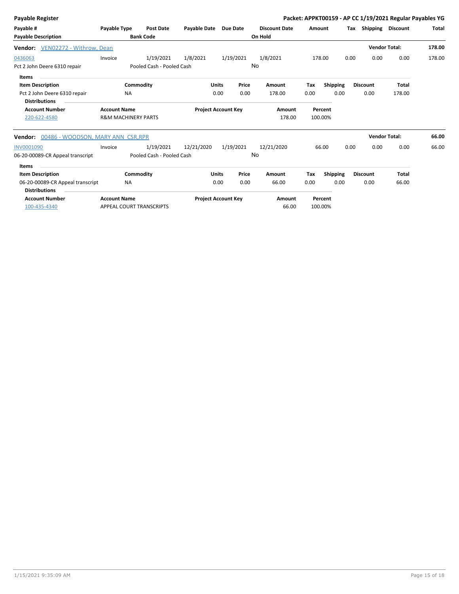| Payable Register                              |                                |                           |                       |                            |       |                      |        |                 |      |                       | Packet: APPKT00159 - AP CC 1/19/2021 Regular Payables YG |              |
|-----------------------------------------------|--------------------------------|---------------------------|-----------------------|----------------------------|-------|----------------------|--------|-----------------|------|-----------------------|----------------------------------------------------------|--------------|
| Payable #                                     | Payable Type                   | <b>Post Date</b>          | Payable Date Due Date |                            |       | <b>Discount Date</b> | Amount |                 |      | Tax Shipping Discount |                                                          | <b>Total</b> |
| <b>Payable Description</b>                    |                                | <b>Bank Code</b>          |                       |                            |       | On Hold              |        |                 |      |                       |                                                          |              |
| <b>Vendor:</b> VEN02272 - Withrow, Dean       |                                |                           |                       |                            |       |                      |        |                 |      |                       | <b>Vendor Total:</b>                                     | 178.00       |
| 0436063                                       | Invoice                        | 1/19/2021                 | 1/8/2021              | 1/19/2021                  |       | 1/8/2021             |        | 178.00          | 0.00 | 0.00                  | 0.00                                                     | 178.00       |
| Pct 2 John Deere 6310 repair                  |                                | Pooled Cash - Pooled Cash |                       |                            |       | No                   |        |                 |      |                       |                                                          |              |
| Items                                         |                                |                           |                       |                            |       |                      |        |                 |      |                       |                                                          |              |
| <b>Item Description</b>                       |                                | Commodity                 | <b>Units</b>          |                            | Price | Amount               | Tax    | <b>Shipping</b> |      | <b>Discount</b>       | <b>Total</b>                                             |              |
| Pct 2 John Deere 6310 repair                  | <b>NA</b>                      |                           |                       | 0.00                       | 0.00  | 178.00               | 0.00   | 0.00            |      | 0.00                  | 178.00                                                   |              |
| <b>Distributions</b>                          |                                |                           |                       |                            |       |                      |        |                 |      |                       |                                                          |              |
| <b>Account Number</b>                         | <b>Account Name</b>            |                           |                       | <b>Project Account Key</b> |       | Amount               |        | Percent         |      |                       |                                                          |              |
| 220-622-4580                                  | <b>R&amp;M MACHINERY PARTS</b> |                           |                       |                            |       | 178.00               |        | 100.00%         |      |                       |                                                          |              |
| 00486 - WOODSON, MARY ANN CSR, RPR<br>Vendor: |                                |                           |                       |                            |       |                      |        |                 |      | <b>Vendor Total:</b>  |                                                          | 66.00        |
| <b>INV0001090</b>                             | Invoice                        | 1/19/2021                 | 12/21/2020            | 1/19/2021                  |       | 12/21/2020           |        | 66.00           | 0.00 | 0.00                  | 0.00                                                     | 66.00        |
| 06-20-00089-CR Appeal transcript              |                                | Pooled Cash - Pooled Cash |                       |                            |       | No                   |        |                 |      |                       |                                                          |              |
| Items                                         |                                |                           |                       |                            |       |                      |        |                 |      |                       |                                                          |              |
| <b>Item Description</b>                       |                                | Commodity                 | <b>Units</b>          |                            | Price | Amount               | Tax    | <b>Shipping</b> |      | <b>Discount</b>       | <b>Total</b>                                             |              |
| 06-20-00089-CR Appeal transcript              | <b>NA</b>                      |                           |                       | 0.00                       | 0.00  | 66.00                | 0.00   | 0.00            |      | 0.00                  | 66.00                                                    |              |
| <b>Distributions</b>                          |                                |                           |                       |                            |       |                      |        |                 |      |                       |                                                          |              |
| <b>Account Number</b>                         | <b>Account Name</b>            |                           |                       | <b>Project Account Key</b> |       | Amount               |        | Percent         |      |                       |                                                          |              |
| 100-435-4340                                  | APPEAL COURT TRANSCRIPTS       |                           |                       |                            |       | 66.00                |        | 100.00%         |      |                       |                                                          |              |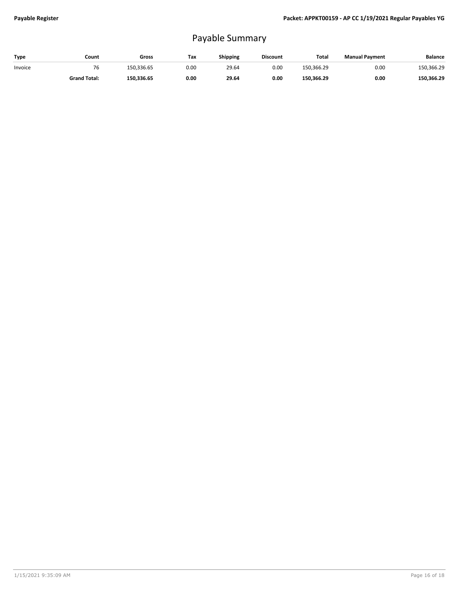## Payable Summary

| Type    | Count               | Gross      | Tax  | Shipping | <b>Discount</b> | Total      | <b>Manual Payment</b> | <b>Balance</b> |
|---------|---------------------|------------|------|----------|-----------------|------------|-----------------------|----------------|
| Invoice | 76                  | 150.336.65 | 0.00 | 29.64    | 0.00            | 150.366.29 | 0.00                  | 150,366.29     |
|         | <b>Grand Total:</b> | 150.336.65 | 0.00 | 29.64    | 0.00            | 150,366.29 | 0.00                  | 150.366.29     |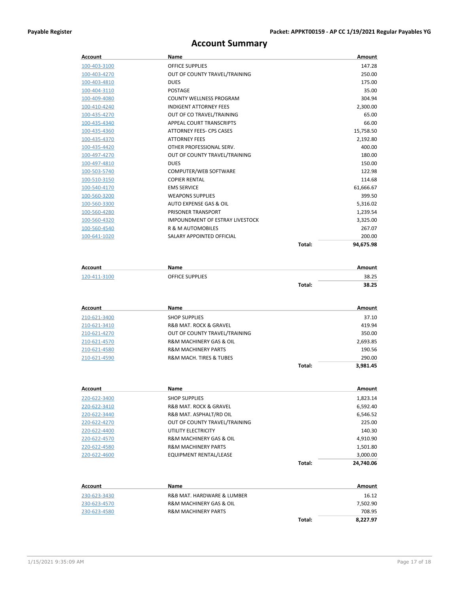## **Account Summary**

| <b>Account</b> | Name                            |        | Amount    |
|----------------|---------------------------------|--------|-----------|
| 100-403-3100   | <b>OFFICE SUPPLIES</b>          |        | 147.28    |
| 100-403-4270   | OUT OF COUNTY TRAVEL/TRAINING   |        | 250.00    |
| 100-403-4810   | <b>DUES</b>                     |        | 175.00    |
| 100-404-3110   | <b>POSTAGE</b>                  |        | 35.00     |
| 100-409-4080   | <b>COUNTY WELLNESS PROGRAM</b>  |        | 304.94    |
| 100-410-4240   | <b>INDIGENT ATTORNEY FEES</b>   |        | 2,300.00  |
| 100-435-4270   | OUT OF CO TRAVEL/TRAINING       |        | 65.00     |
| 100-435-4340   | <b>APPEAL COURT TRANSCRIPTS</b> |        | 66.00     |
| 100-435-4360   | ATTORNEY FEES- CPS CASES        |        | 15,758.50 |
| 100-435-4370   | <b>ATTORNEY FEES</b>            |        | 2,192.80  |
| 100-435-4420   | OTHER PROFESSIONAL SERV.        |        | 400.00    |
| 100-497-4270   | OUT OF COUNTY TRAVEL/TRAINING   |        | 180.00    |
| 100-497-4810   | <b>DUES</b>                     |        | 150.00    |
| 100-503-5740   | COMPUTER/WEB SOFTWARE           |        | 122.98    |
| 100-510-3150   | <b>COPIER RENTAL</b>            |        | 114.68    |
| 100-540-4170   | <b>EMS SERVICE</b>              |        | 61,666.67 |
| 100-560-3200   | <b>WEAPONS SUPPLIES</b>         |        | 399.50    |
| 100-560-3300   | AUTO EXPENSE GAS & OIL          |        | 5,316.02  |
| 100-560-4280   | PRISONER TRANSPORT              |        | 1,239.54  |
| 100-560-4320   | IMPOUNDMENT OF ESTRAY LIVESTOCK |        | 3,325.00  |
| 100-560-4540   | <b>R &amp; M AUTOMOBILES</b>    |        | 267.07    |
| 100-641-1020   | SALARY APPOINTED OFFICIAL       |        | 200.00    |
|                |                                 | Total: | 94.675.98 |

| Account      | Name                   |        | Amount |
|--------------|------------------------|--------|--------|
| 120-411-3100 | <b>OFFICE SUPPLIES</b> |        | 38.25  |
|              |                        | Total: | 38.25  |

| Account      | Name                                   |        | Amount   |
|--------------|----------------------------------------|--------|----------|
| 210-621-3400 | <b>SHOP SUPPLIES</b>                   |        | 37.10    |
| 210-621-3410 | <b>R&amp;B MAT. ROCK &amp; GRAVEL</b>  |        | 419.94   |
| 210-621-4270 | OUT OF COUNTY TRAVEL/TRAINING          |        | 350.00   |
| 210-621-4570 | <b>R&amp;M MACHINERY GAS &amp; OIL</b> |        | 2,693.85 |
| 210-621-4580 | <b>R&amp;M MACHINERY PARTS</b>         |        | 190.56   |
| 210-621-4590 | <b>R&amp;M MACH. TIRES &amp; TUBES</b> |        | 290.00   |
|              |                                        | Total: | 3.981.45 |

| Account      | Name                                   |        | Amount    |
|--------------|----------------------------------------|--------|-----------|
| 220-622-3400 | <b>SHOP SUPPLIES</b>                   |        | 1,823.14  |
| 220-622-3410 | <b>R&amp;B MAT. ROCK &amp; GRAVEL</b>  |        | 6,592.40  |
| 220-622-3440 | R&B MAT. ASPHALT/RD OIL                |        | 6,546.52  |
| 220-622-4270 | OUT OF COUNTY TRAVEL/TRAINING          |        | 225.00    |
| 220-622-4400 | UTILITY ELECTRICITY                    |        | 140.30    |
| 220-622-4570 | <b>R&amp;M MACHINERY GAS &amp; OIL</b> |        | 4,910.90  |
| 220-622-4580 | <b>R&amp;M MACHINERY PARTS</b>         |        | 1,501.80  |
| 220-622-4600 | <b>EQUIPMENT RENTAL/LEASE</b>          |        | 3,000.00  |
|              |                                        | Total: | 24.740.06 |

| Account      | Name                                   |        | Amount   |
|--------------|----------------------------------------|--------|----------|
| 230-623-3430 | R&B MAT, HARDWARE & LUMBER             |        | 16.12    |
| 230-623-4570 | <b>R&amp;M MACHINERY GAS &amp; OIL</b> |        | 7,502.90 |
| 230-623-4580 | <b>R&amp;M MACHINERY PARTS</b>         |        | 708.95   |
|              |                                        | Total: | 8,227.97 |